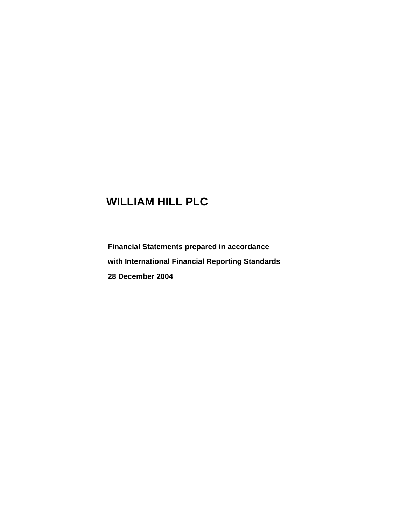# **WILLIAM HILL PLC**

**Financial Statements prepared in accordance with International Financial Reporting Standards 28 December 2004**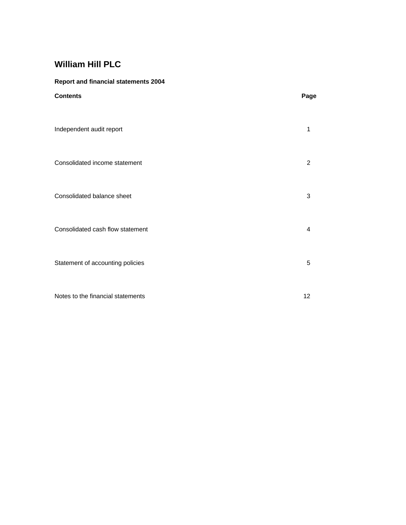# **Report and financial statements 2004**

| <b>Contents</b>                   | Page        |
|-----------------------------------|-------------|
| Independent audit report          | 1           |
| Consolidated income statement     | 2           |
| Consolidated balance sheet        | 3           |
| Consolidated cash flow statement  | 4           |
| Statement of accounting policies  | $\mathbf 5$ |
| Notes to the financial statements | 12          |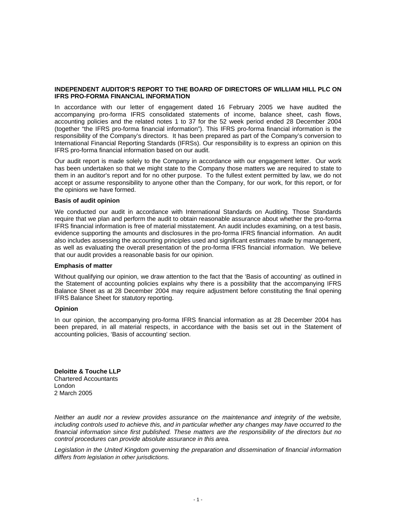### **INDEPENDENT AUDITOR'S REPORT TO THE BOARD OF DIRECTORS OF WILLIAM HILL PLC ON IFRS PRO-FORMA FINANCIAL INFORMATION**

In accordance with our letter of engagement dated 16 February 2005 we have audited the accompanying pro-forma IFRS consolidated statements of income, balance sheet, cash flows, accounting policies and the related notes 1 to 37 for the 52 week period ended 28 December 2004 (together "the IFRS pro-forma financial information"). This IFRS pro-forma financial information is the responsibility of the Company's directors. It has been prepared as part of the Company's conversion to International Financial Reporting Standards (IFRSs). Our responsibility is to express an opinion on this IFRS pro-forma financial information based on our audit.

Our audit report is made solely to the Company in accordance with our engagement letter. Our work has been undertaken so that we might state to the Company those matters we are required to state to them in an auditor's report and for no other purpose. To the fullest extent permitted by law, we do not accept or assume responsibility to anyone other than the Company, for our work, for this report, or for the opinions we have formed.

### **Basis of audit opinion**

We conducted our audit in accordance with International Standards on Auditing. Those Standards require that we plan and perform the audit to obtain reasonable assurance about whether the pro-forma IFRS financial information is free of material misstatement. An audit includes examining, on a test basis, evidence supporting the amounts and disclosures in the pro-forma IFRS financial information. An audit also includes assessing the accounting principles used and significant estimates made by management, as well as evaluating the overall presentation of the pro-forma IFRS financial information. We believe that our audit provides a reasonable basis for our opinion.

#### **Emphasis of matter**

Without qualifying our opinion, we draw attention to the fact that the 'Basis of accounting' as outlined in the Statement of accounting policies explains why there is a possibility that the accompanying IFRS Balance Sheet as at 28 December 2004 may require adjustment before constituting the final opening IFRS Balance Sheet for statutory reporting.

#### **Opinion**

In our opinion, the accompanying pro-forma IFRS financial information as at 28 December 2004 has been prepared, in all material respects, in accordance with the basis set out in the Statement of accounting policies, 'Basis of accounting' section.

**Deloitte & Touche LLP**  Chartered Accountants London 2 March 2005

*Neither an audit nor a review provides assurance on the maintenance and integrity of the website, including controls used to achieve this, and in particular whether any changes may have occurred to the financial information since first published. These matters are the responsibility of the directors but no control procedures can provide absolute assurance in this area.* 

*Legislation in the United Kingdom governing the preparation and dissemination of financial information differs from legislation in other jurisdictions.*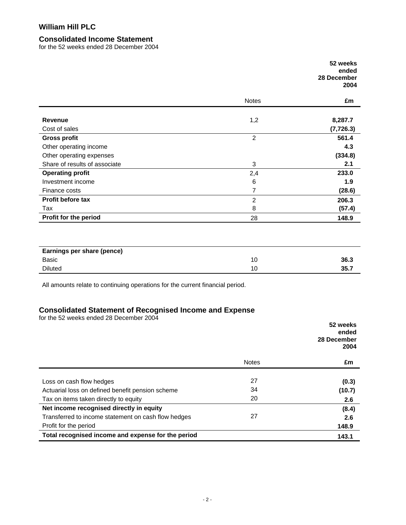# **Consolidated Income Statement**

for the 52 weeks ended 28 December 2004

| 52 weeks    |  |
|-------------|--|
| ended       |  |
| 28 December |  |
| 2004        |  |

|                               | <b>Notes</b> | £m         |
|-------------------------------|--------------|------------|
| Revenue                       | 1,2          | 8,287.7    |
| Cost of sales                 |              | (7, 726.3) |
| <b>Gross profit</b>           | 2            | 561.4      |
| Other operating income        |              | 4.3        |
| Other operating expenses      |              | (334.8)    |
| Share of results of associate | 3            | 2.1        |
| <b>Operating profit</b>       | 2,4          | 233.0      |
| Investment income             | 6            | 1.9        |
| Finance costs                 | 7            | (28.6)     |
| <b>Profit before tax</b>      | 2            | 206.3      |
| Tax                           | 8            | (57.4)     |
| Profit for the period         | 28           | 148.9      |

| Earnings per share (pence) |    |      |
|----------------------------|----|------|
| <b>Basic</b>               | 10 | 36.3 |
| <b>Diluted</b>             | 10 | 35.7 |

All amounts relate to continuing operations for the current financial period.

### **Consolidated Statement of Recognised Income and Expense**

| for the 52 weeks ended 28 December 2004             | 52 weeks<br>ended<br>28 December<br>2004 |        |
|-----------------------------------------------------|------------------------------------------|--------|
|                                                     | <b>Notes</b>                             | £m     |
| Loss on cash flow hedges                            | 27                                       | (0.3)  |
| Actuarial loss on defined benefit pension scheme    | 34                                       | (10.7) |
| Tax on items taken directly to equity               | 20                                       | 2.6    |
| Net income recognised directly in equity            |                                          | (8.4)  |
| Transferred to income statement on cash flow hedges | 27                                       | 2.6    |
| Profit for the period                               |                                          | 148.9  |
| Total recognised income and expense for the period  |                                          | 143.1  |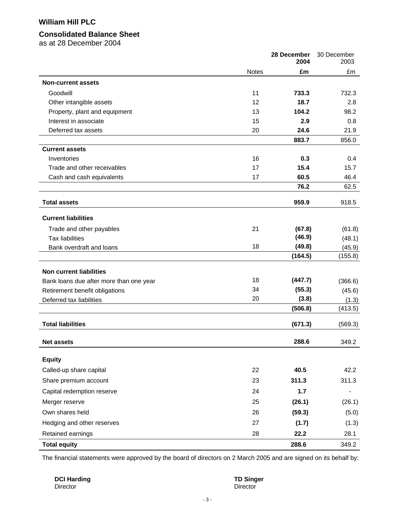# **Consolidated Balance Sheet**

as at 28 December 2004

|                                         |              | 28 December<br>2004 | 30 December<br>2003 |
|-----------------------------------------|--------------|---------------------|---------------------|
|                                         | <b>Notes</b> | £m                  | £m                  |
| <b>Non-current assets</b>               |              |                     |                     |
| Goodwill                                | 11           | 733.3               | 732.3               |
| Other intangible assets                 | 12           | 18.7                | 2.8                 |
| Property, plant and equipment           | 13           | 104.2               | 98.2                |
| Interest in associate                   | 15           | 2.9                 | 0.8                 |
| Deferred tax assets                     | 20           | 24.6                | 21.9                |
|                                         |              | 883.7               | 856.0               |
| <b>Current assets</b>                   |              |                     |                     |
| Inventories                             | 16           | 0.3                 | 0.4                 |
| Trade and other receivables             | 17           | 15.4                | 15.7                |
| Cash and cash equivalents               | 17           | 60.5<br>76.2        | 46.4<br>62.5        |
| <b>Total assets</b>                     |              | 959.9               | 918.5               |
| <b>Current liabilities</b>              |              |                     |                     |
| Trade and other payables                | 21           | (67.8)              | (61.8)              |
| <b>Tax liabilities</b>                  |              | (46.9)              | (48.1)              |
| Bank overdraft and loans                | 18           | (49.8)              | (45.9)              |
|                                         |              | (164.5)             | (155.8)             |
| Non current liabilities                 |              |                     |                     |
| Bank loans due after more than one year | 18           | (447.7)             | (366.6)             |
| Retirement benefit obligations          | 34           | (55.3)              | (45.6)              |
| Deferred tax liabilities                | 20           | (3.8)               | (1.3)               |
|                                         |              | (506.8)             | (413.5)             |
| <b>Total liabilities</b>                |              | (671.3)             | (569.3)             |
| <b>Net assets</b>                       |              | 288.6               | 349.2               |
| <b>Equity</b>                           |              |                     |                     |
| Called-up share capital                 | 22           | 40.5                | 42.2                |
| Share premium account                   | 23           | 311.3               | 311.3               |
| Capital redemption reserve              | 24           | 1.7                 |                     |
| Merger reserve                          | 25           | (26.1)              | (26.1)              |
| Own shares held                         | 26           | (59.3)              | (5.0)               |
| Hedging and other reserves              | 27           | (1.7)               | (1.3)               |
| Retained earnings                       | 28           | 22.2                | 28.1                |
| <b>Total equity</b>                     |              | 288.6               | 349.2               |

The financial statements were approved by the board of directors on 2 March 2005 and are signed on its behalf by:

| <b>DCI Harding</b> | <b>TD Singer</b> |
|--------------------|------------------|
| Director           | Director         |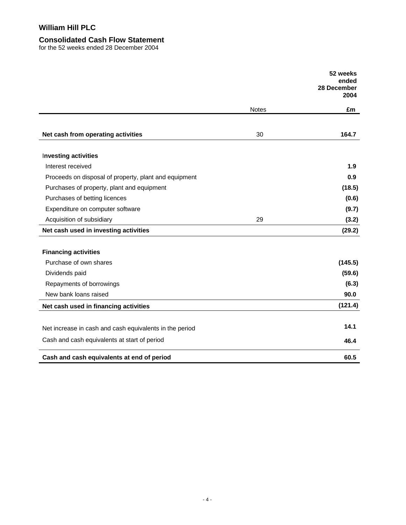# **Consolidated Cash Flow Statement**

for the 52 weeks ended 28 December 2004

|                                                         |              | 52 weeks<br>ended<br>28 December |
|---------------------------------------------------------|--------------|----------------------------------|
|                                                         |              | 2004                             |
|                                                         | <b>Notes</b> | £m                               |
|                                                         |              |                                  |
| Net cash from operating activities                      | 30           | 164.7                            |
|                                                         |              |                                  |
| <b>Investing activities</b>                             |              |                                  |
| Interest received                                       |              | 1.9                              |
| Proceeds on disposal of property, plant and equipment   |              | 0.9                              |
| Purchases of property, plant and equipment              |              | (18.5)                           |
| Purchases of betting licences                           |              | (0.6)                            |
| Expenditure on computer software                        |              | (9.7)                            |
| Acquisition of subsidiary                               | 29           | (3.2)                            |
| Net cash used in investing activities                   |              | (29.2)                           |
|                                                         |              |                                  |
| <b>Financing activities</b>                             |              |                                  |
| Purchase of own shares                                  |              | (145.5)                          |
| Dividends paid                                          |              | (59.6)                           |
| Repayments of borrowings                                |              | (6.3)                            |
| New bank loans raised                                   |              | 90.0                             |
| Net cash used in financing activities                   |              | (121.4)                          |
| Net increase in cash and cash equivalents in the period |              | 14.1                             |
| Cash and cash equivalents at start of period            |              |                                  |
|                                                         |              | 46.4                             |
| Cash and cash equivalents at end of period              |              | 60.5                             |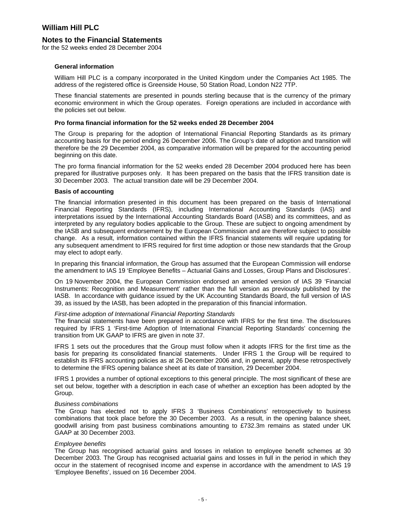### **Notes to the Financial Statements**

for the 52 weeks ended 28 December 2004

#### **General information**

William Hill PLC is a company incorporated in the United Kingdom under the Companies Act 1985. The address of the registered office is Greenside House, 50 Station Road, London N22 7TP.

These financial statements are presented in pounds sterling because that is the currency of the primary economic environment in which the Group operates. Foreign operations are included in accordance with the policies set out below.

#### **Pro forma financial information for the 52 weeks ended 28 December 2004**

The Group is preparing for the adoption of International Financial Reporting Standards as its primary accounting basis for the period ending 26 December 2006. The Group's date of adoption and transition will therefore be the 29 December 2004, as comparative information will be prepared for the accounting period beginning on this date.

The pro forma financial information for the 52 weeks ended 28 December 2004 produced here has been prepared for illustrative purposes only. It has been prepared on the basis that the IFRS transition date is 30 December 2003. The actual transition date will be 29 December 2004.

#### **Basis of accounting**

The financial information presented in this document has been prepared on the basis of International Financial Reporting Standards (IFRS), including International Accounting Standards (IAS) and interpretations issued by the International Accounting Standards Board (IASB) and its committees, and as interpreted by any regulatory bodies applicable to the Group. These are subject to ongoing amendment by the IASB and subsequent endorsement by the European Commission and are therefore subject to possible change. As a result, information contained within the IFRS financial statements will require updating for any subsequent amendment to IFRS required for first time adoption or those new standards that the Group may elect to adopt early.

In preparing this financial information, the Group has assumed that the European Commission will endorse the amendment to IAS 19 'Employee Benefits – Actuarial Gains and Losses, Group Plans and Disclosures'.

On 19 November 2004, the European Commission endorsed an amended version of IAS 39 'Financial Instruments: Recognition and Measurement' rather than the full version as previously published by the IASB. In accordance with guidance issued by the UK Accounting Standards Board, the full version of IAS 39, as issued by the IASB, has been adopted in the preparation of this financial information.

### *First-time adoption of International Financial Reporting Standards*

The financial statements have been prepared in accordance with IFRS for the first time. The disclosures required by IFRS 1 'First-time Adoption of International Financial Reporting Standards' concerning the transition from UK GAAP to IFRS are given in note 37.

IFRS 1 sets out the procedures that the Group must follow when it adopts IFRS for the first time as the basis for preparing its consolidated financial statements. Under IFRS 1 the Group will be required to establish its IFRS accounting policies as at 26 December 2006 and, in general, apply these retrospectively to determine the IFRS opening balance sheet at its date of transition, 29 December 2004.

IFRS 1 provides a number of optional exceptions to this general principle. The most significant of these are set out below, together with a description in each case of whether an exception has been adopted by the Group.

### *Business combinations*

The Group has elected not to apply IFRS 3 'Business Combinations' retrospectively to business combinations that took place before the 30 December 2003. As a result, in the opening balance sheet, goodwill arising from past business combinations amounting to £732.3m remains as stated under UK GAAP at 30 December 2003.

### *Employee benefits*

The Group has recognised actuarial gains and losses in relation to employee benefit schemes at 30 December 2003. The Group has recognised actuarial gains and losses in full in the period in which they occur in the statement of recognised income and expense in accordance with the amendment to IAS 19 'Employee Benefits', issued on 16 December 2004.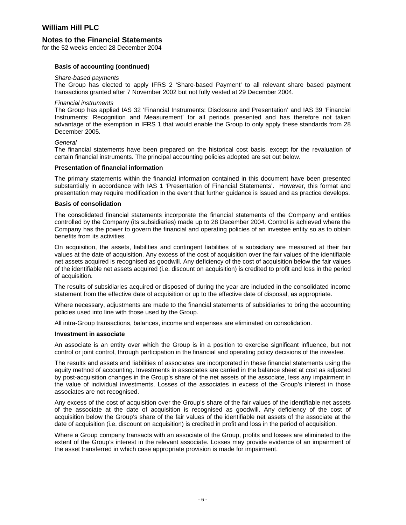### **Notes to the Financial Statements**

for the 52 weeks ended 28 December 2004

### **Basis of accounting (continued)**

#### *Share-based payments*

The Group has elected to apply IFRS 2 'Share-based Payment' to all relevant share based payment transactions granted after 7 November 2002 but not fully vested at 29 December 2004.

#### *Financial instruments*

The Group has applied IAS 32 'Financial Instruments: Disclosure and Presentation' and IAS 39 'Financial Instruments: Recognition and Measurement' for all periods presented and has therefore not taken advantage of the exemption in IFRS 1 that would enable the Group to only apply these standards from 28 December 2005.

#### *General*

The financial statements have been prepared on the historical cost basis, except for the revaluation of certain financial instruments. The principal accounting policies adopted are set out below.

### **Presentation of financial information**

The primary statements within the financial information contained in this document have been presented substantially in accordance with IAS 1 'Presentation of Financial Statements'. However, this format and presentation may require modification in the event that further guidance is issued and as practice develops.

#### **Basis of consolidation**

The consolidated financial statements incorporate the financial statements of the Company and entities controlled by the Company (its subsidiaries) made up to 28 December 2004. Control is achieved where the Company has the power to govern the financial and operating policies of an investee entity so as to obtain benefits from its activities.

On acquisition, the assets, liabilities and contingent liabilities of a subsidiary are measured at their fair values at the date of acquisition. Any excess of the cost of acquisition over the fair values of the identifiable net assets acquired is recognised as goodwill. Any deficiency of the cost of acquisition below the fair values of the identifiable net assets acquired (i.e. discount on acquisition) is credited to profit and loss in the period of acquisition.

The results of subsidiaries acquired or disposed of during the year are included in the consolidated income statement from the effective date of acquisition or up to the effective date of disposal, as appropriate.

Where necessary, adjustments are made to the financial statements of subsidiaries to bring the accounting policies used into line with those used by the Group.

All intra-Group transactions, balances, income and expenses are eliminated on consolidation.

#### **Investment in associate**

An associate is an entity over which the Group is in a position to exercise significant influence, but not control or joint control, through participation in the financial and operating policy decisions of the investee.

The results and assets and liabilities of associates are incorporated in these financial statements using the equity method of accounting. Investments in associates are carried in the balance sheet at cost as adjusted by post-acquisition changes in the Group's share of the net assets of the associate, less any impairment in the value of individual investments. Losses of the associates in excess of the Group's interest in those associates are not recognised.

Any excess of the cost of acquisition over the Group's share of the fair values of the identifiable net assets of the associate at the date of acquisition is recognised as goodwill. Any deficiency of the cost of acquisition below the Group's share of the fair values of the identifiable net assets of the associate at the date of acquisition (i.e. discount on acquisition) is credited in profit and loss in the period of acquisition.

Where a Group company transacts with an associate of the Group, profits and losses are eliminated to the extent of the Group's interest in the relevant associate. Losses may provide evidence of an impairment of the asset transferred in which case appropriate provision is made for impairment.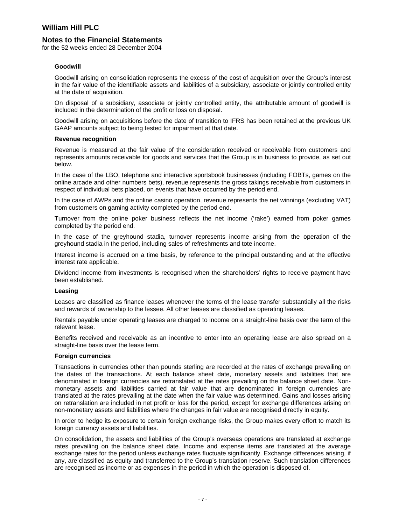### **Notes to the Financial Statements**

for the 52 weeks ended 28 December 2004

#### **Goodwill**

Goodwill arising on consolidation represents the excess of the cost of acquisition over the Group's interest in the fair value of the identifiable assets and liabilities of a subsidiary, associate or jointly controlled entity at the date of acquisition.

On disposal of a subsidiary, associate or jointly controlled entity, the attributable amount of goodwill is included in the determination of the profit or loss on disposal.

Goodwill arising on acquisitions before the date of transition to IFRS has been retained at the previous UK GAAP amounts subject to being tested for impairment at that date.

#### **Revenue recognition**

Revenue is measured at the fair value of the consideration received or receivable from customers and represents amounts receivable for goods and services that the Group is in business to provide, as set out below.

In the case of the LBO, telephone and interactive sportsbook businesses (including FOBTs, games on the online arcade and other numbers bets), revenue represents the gross takings receivable from customers in respect of individual bets placed, on events that have occurred by the period end.

In the case of AWPs and the online casino operation, revenue represents the net winnings (excluding VAT) from customers on gaming activity completed by the period end.

Turnover from the online poker business reflects the net income ('rake') earned from poker games completed by the period end.

In the case of the greyhound stadia, turnover represents income arising from the operation of the greyhound stadia in the period, including sales of refreshments and tote income.

Interest income is accrued on a time basis, by reference to the principal outstanding and at the effective interest rate applicable.

Dividend income from investments is recognised when the shareholders' rights to receive payment have been established.

#### **Leasing**

Leases are classified as finance leases whenever the terms of the lease transfer substantially all the risks and rewards of ownership to the lessee. All other leases are classified as operating leases.

Rentals payable under operating leases are charged to income on a straight-line basis over the term of the relevant lease.

Benefits received and receivable as an incentive to enter into an operating lease are also spread on a straight-line basis over the lease term.

#### **Foreign currencies**

Transactions in currencies other than pounds sterling are recorded at the rates of exchange prevailing on the dates of the transactions. At each balance sheet date, monetary assets and liabilities that are denominated in foreign currencies are retranslated at the rates prevailing on the balance sheet date. Nonmonetary assets and liabilities carried at fair value that are denominated in foreign currencies are translated at the rates prevailing at the date when the fair value was determined. Gains and losses arising on retranslation are included in net profit or loss for the period, except for exchange differences arising on non-monetary assets and liabilities where the changes in fair value are recognised directly in equity.

In order to hedge its exposure to certain foreign exchange risks, the Group makes every effort to match its foreign currency assets and liabilities.

On consolidation, the assets and liabilities of the Group's overseas operations are translated at exchange rates prevailing on the balance sheet date. Income and expense items are translated at the average exchange rates for the period unless exchange rates fluctuate significantly. Exchange differences arising, if any, are classified as equity and transferred to the Group's translation reserve. Such translation differences are recognised as income or as expenses in the period in which the operation is disposed of.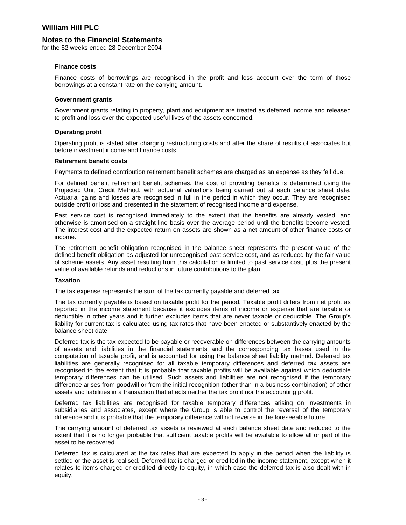### **Notes to the Financial Statements**

for the 52 weeks ended 28 December 2004

#### **Finance costs**

Finance costs of borrowings are recognised in the profit and loss account over the term of those borrowings at a constant rate on the carrying amount.

#### **Government grants**

Government grants relating to property, plant and equipment are treated as deferred income and released to profit and loss over the expected useful lives of the assets concerned.

#### **Operating profit**

Operating profit is stated after charging restructuring costs and after the share of results of associates but before investment income and finance costs.

#### **Retirement benefit costs**

Payments to defined contribution retirement benefit schemes are charged as an expense as they fall due.

For defined benefit retirement benefit schemes, the cost of providing benefits is determined using the Projected Unit Credit Method, with actuarial valuations being carried out at each balance sheet date. Actuarial gains and losses are recognised in full in the period in which they occur. They are recognised outside profit or loss and presented in the statement of recognised income and expense.

Past service cost is recognised immediately to the extent that the benefits are already vested, and otherwise is amortised on a straight-line basis over the average period until the benefits become vested. The interest cost and the expected return on assets are shown as a net amount of other finance costs or income.

The retirement benefit obligation recognised in the balance sheet represents the present value of the defined benefit obligation as adjusted for unrecognised past service cost, and as reduced by the fair value of scheme assets. Any asset resulting from this calculation is limited to past service cost, plus the present value of available refunds and reductions in future contributions to the plan.

### **Taxation**

The tax expense represents the sum of the tax currently payable and deferred tax.

The tax currently payable is based on taxable profit for the period. Taxable profit differs from net profit as reported in the income statement because it excludes items of income or expense that are taxable or deductible in other years and it further excludes items that are never taxable or deductible. The Group's liability for current tax is calculated using tax rates that have been enacted or substantively enacted by the balance sheet date.

Deferred tax is the tax expected to be payable or recoverable on differences between the carrying amounts of assets and liabilities in the financial statements and the corresponding tax bases used in the computation of taxable profit, and is accounted for using the balance sheet liability method. Deferred tax liabilities are generally recognised for all taxable temporary differences and deferred tax assets are recognised to the extent that it is probable that taxable profits will be available against which deductible temporary differences can be utilised. Such assets and liabilities are not recognised if the temporary difference arises from goodwill or from the initial recognition (other than in a business combination) of other assets and liabilities in a transaction that affects neither the tax profit nor the accounting profit.

Deferred tax liabilities are recognised for taxable temporary differences arising on investments in subsidiaries and associates, except where the Group is able to control the reversal of the temporary difference and it is probable that the temporary difference will not reverse in the foreseeable future.

The carrying amount of deferred tax assets is reviewed at each balance sheet date and reduced to the extent that it is no longer probable that sufficient taxable profits will be available to allow all or part of the asset to be recovered.

Deferred tax is calculated at the tax rates that are expected to apply in the period when the liability is settled or the asset is realised. Deferred tax is charged or credited in the income statement, except when it relates to items charged or credited directly to equity, in which case the deferred tax is also dealt with in equity.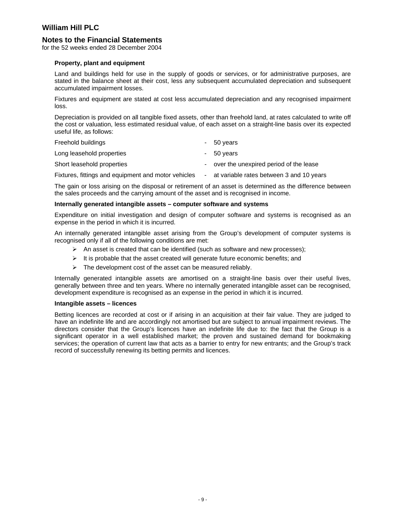### **Notes to the Financial Statements**

for the 52 weeks ended 28 December 2004

### **Property, plant and equipment**

Land and buildings held for use in the supply of goods or services, or for administrative purposes, are stated in the balance sheet at their cost, less any subsequent accumulated depreciation and subsequent accumulated impairment losses.

Fixtures and equipment are stated at cost less accumulated depreciation and any recognised impairment loss.

Depreciation is provided on all tangible fixed assets, other than freehold land, at rates calculated to write off the cost or valuation, less estimated residual value, of each asset on a straight-line basis over its expected useful life, as follows:

| Freehold buildings                                  |                | - 50 years                               |
|-----------------------------------------------------|----------------|------------------------------------------|
| Long leasehold properties                           |                | - 50 years                               |
| Short leasehold properties                          |                | - over the unexpired period of the lease |
| Fixtures, fittings and equipment and motor vehicles | $\blacksquare$ | at variable rates between 3 and 10 years |

The gain or loss arising on the disposal or retirement of an asset is determined as the difference between the sales proceeds and the carrying amount of the asset and is recognised in income.

#### **Internally generated intangible assets – computer software and systems**

Expenditure on initial investigation and design of computer software and systems is recognised as an expense in the period in which it is incurred.

An internally generated intangible asset arising from the Group's development of computer systems is recognised only if all of the following conditions are met:

- $\triangleright$  An asset is created that can be identified (such as software and new processes);
- $\triangleright$  It is probable that the asset created will generate future economic benefits; and
- $\triangleright$  The development cost of the asset can be measured reliably.

Internally generated intangible assets are amortised on a straight-line basis over their useful lives, generally between three and ten years. Where no internally generated intangible asset can be recognised, development expenditure is recognised as an expense in the period in which it is incurred.

#### **Intangible assets – licences**

Betting licences are recorded at cost or if arising in an acquisition at their fair value. They are judged to have an indefinite life and are accordingly not amortised but are subject to annual impairment reviews. The directors consider that the Group's licences have an indefinite life due to: the fact that the Group is a significant operator in a well established market; the proven and sustained demand for bookmaking services; the operation of current law that acts as a barrier to entry for new entrants; and the Group's track record of successfully renewing its betting permits and licences.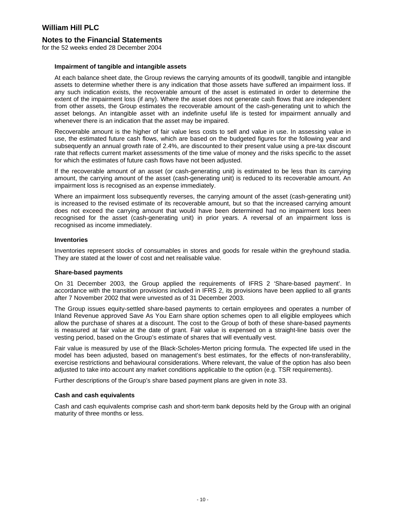### **Notes to the Financial Statements**

for the 52 weeks ended 28 December 2004

#### **Impairment of tangible and intangible assets**

At each balance sheet date, the Group reviews the carrying amounts of its goodwill, tangible and intangible assets to determine whether there is any indication that those assets have suffered an impairment loss. If any such indication exists, the recoverable amount of the asset is estimated in order to determine the extent of the impairment loss (if any). Where the asset does not generate cash flows that are independent from other assets, the Group estimates the recoverable amount of the cash-generating unit to which the asset belongs. An intangible asset with an indefinite useful life is tested for impairment annually and whenever there is an indication that the asset may be impaired.

Recoverable amount is the higher of fair value less costs to sell and value in use. In assessing value in use, the estimated future cash flows, which are based on the budgeted figures for the following year and subsequently an annual growth rate of 2.4%, are discounted to their present value using a pre-tax discount rate that reflects current market assessments of the time value of money and the risks specific to the asset for which the estimates of future cash flows have not been adjusted.

If the recoverable amount of an asset (or cash-generating unit) is estimated to be less than its carrying amount, the carrying amount of the asset (cash-generating unit) is reduced to its recoverable amount. An impairment loss is recognised as an expense immediately.

Where an impairment loss subsequently reverses, the carrying amount of the asset (cash-generating unit) is increased to the revised estimate of its recoverable amount, but so that the increased carrying amount does not exceed the carrying amount that would have been determined had no impairment loss been recognised for the asset (cash-generating unit) in prior years. A reversal of an impairment loss is recognised as income immediately.

### **Inventories**

Inventories represent stocks of consumables in stores and goods for resale within the greyhound stadia. They are stated at the lower of cost and net realisable value.

### **Share-based payments**

On 31 December 2003, the Group applied the requirements of IFRS 2 'Share-based payment'. In accordance with the transition provisions included in IFRS 2, its provisions have been applied to all grants after 7 November 2002 that were unvested as of 31 December 2003.

The Group issues equity-settled share-based payments to certain employees and operates a number of Inland Revenue approved Save As You Earn share option schemes open to all eligible employees which allow the purchase of shares at a discount. The cost to the Group of both of these share-based payments is measured at fair value at the date of grant. Fair value is expensed on a straight-line basis over the vesting period, based on the Group's estimate of shares that will eventually vest.

Fair value is measured by use of the Black-Scholes-Merton pricing formula. The expected life used in the model has been adjusted, based on management's best estimates, for the effects of non-transferability, exercise restrictions and behavioural considerations. Where relevant, the value of the option has also been adjusted to take into account any market conditions applicable to the option (e.g. TSR requirements).

Further descriptions of the Group's share based payment plans are given in note 33.

### **Cash and cash equivalents**

Cash and cash equivalents comprise cash and short-term bank deposits held by the Group with an original maturity of three months or less.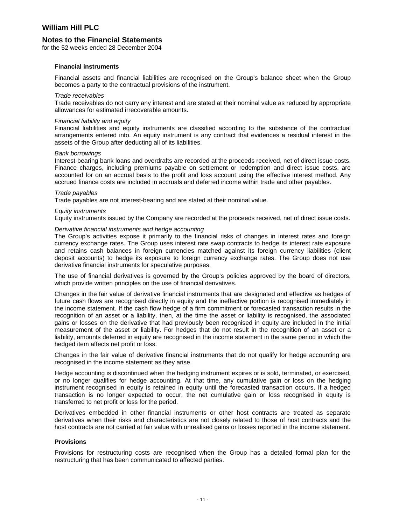### **Notes to the Financial Statements**

for the 52 weeks ended 28 December 2004

#### **Financial instruments**

Financial assets and financial liabilities are recognised on the Group's balance sheet when the Group becomes a party to the contractual provisions of the instrument.

#### *Trade receivables*

Trade receivables do not carry any interest and are stated at their nominal value as reduced by appropriate allowances for estimated irrecoverable amounts.

#### *Financial liability and equity*

Financial liabilities and equity instruments are classified according to the substance of the contractual arrangements entered into. An equity instrument is any contract that evidences a residual interest in the assets of the Group after deducting all of its liabilities.

#### *Bank borrowings*

Interest-bearing bank loans and overdrafts are recorded at the proceeds received, net of direct issue costs. Finance charges, including premiums payable on settlement or redemption and direct issue costs, are accounted for on an accrual basis to the profit and loss account using the effective interest method. Any accrued finance costs are included in accruals and deferred income within trade and other payables.

#### *Trade payables*

Trade payables are not interest-bearing and are stated at their nominal value.

#### *Equity instruments*

Equity instruments issued by the Company are recorded at the proceeds received, net of direct issue costs.

#### *Derivative financial instruments and hedge accounting*

The Group's activities expose it primarily to the financial risks of changes in interest rates and foreign currency exchange rates. The Group uses interest rate swap contracts to hedge its interest rate exposure and retains cash balances in foreign currencies matched against its foreign currency liabilities (client deposit accounts) to hedge its exposure to foreign currency exchange rates. The Group does not use derivative financial instruments for speculative purposes.

The use of financial derivatives is governed by the Group's policies approved by the board of directors, which provide written principles on the use of financial derivatives.

Changes in the fair value of derivative financial instruments that are designated and effective as hedges of future cash flows are recognised directly in equity and the ineffective portion is recognised immediately in the income statement. If the cash flow hedge of a firm commitment or forecasted transaction results in the recognition of an asset or a liability, then, at the time the asset or liability is recognised, the associated gains or losses on the derivative that had previously been recognised in equity are included in the initial measurement of the asset or liability. For hedges that do not result in the recognition of an asset or a liability, amounts deferred in equity are recognised in the income statement in the same period in which the hedged item affects net profit or loss.

Changes in the fair value of derivative financial instruments that do not qualify for hedge accounting are recognised in the income statement as they arise.

Hedge accounting is discontinued when the hedging instrument expires or is sold, terminated, or exercised, or no longer qualifies for hedge accounting. At that time, any cumulative gain or loss on the hedging instrument recognised in equity is retained in equity until the forecasted transaction occurs. If a hedged transaction is no longer expected to occur, the net cumulative gain or loss recognised in equity is transferred to net profit or loss for the period.

Derivatives embedded in other financial instruments or other host contracts are treated as separate derivatives when their risks and characteristics are not closely related to those of host contracts and the host contracts are not carried at fair value with unrealised gains or losses reported in the income statement.

### **Provisions**

Provisions for restructuring costs are recognised when the Group has a detailed formal plan for the restructuring that has been communicated to affected parties.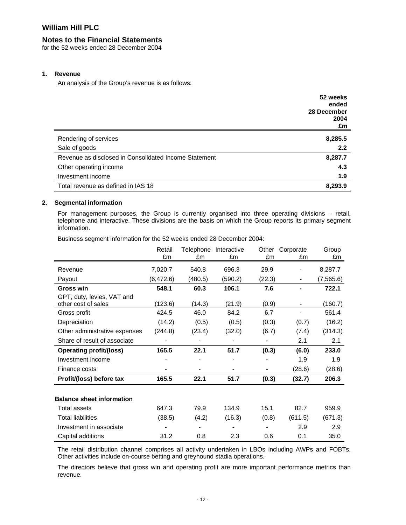### **Notes to the Financial Statements**

for the 52 weeks ended 28 December 2004

### **1. Revenue**

An analysis of the Group's revenue is as follows:

|                                                       | 52 weeks    |
|-------------------------------------------------------|-------------|
|                                                       | ended       |
|                                                       | 28 December |
|                                                       | 2004        |
|                                                       | £m          |
| Rendering of services                                 | 8,285.5     |
| Sale of goods                                         | 2.2         |
| Revenue as disclosed in Consolidated Income Statement | 8,287.7     |
| Other operating income                                | 4.3         |
| Investment income                                     | 1.9         |
| Total revenue as defined in IAS 18                    | 8,293.9     |

### **2. Segmental information**

For management purposes, the Group is currently organised into three operating divisions – retail, telephone and interactive. These divisions are the basis on which the Group reports its primary segment information.

Business segment information for the 52 weeks ended 28 December 2004:

|                                  | Retail     | Telephone | Interactive | Other  | Corporate | Group      |
|----------------------------------|------------|-----------|-------------|--------|-----------|------------|
|                                  | £m         | £m        | £m          | £m     | £m        | £m         |
| Revenue                          | 7,020.7    | 540.8     | 696.3       | 29.9   |           | 8,287.7    |
| Payout                           | (6, 472.6) | (480.5)   | (590.2)     | (22.3) |           | (7, 565.6) |
| <b>Gross win</b>                 | 548.1      | 60.3      | 106.1       | 7.6    |           | 722.1      |
| GPT, duty, levies, VAT and       |            |           |             |        |           |            |
| other cost of sales              | (123.6)    | (14.3)    | (21.9)      | (0.9)  |           | (160.7)    |
| Gross profit                     | 424.5      | 46.0      | 84.2        | 6.7    |           | 561.4      |
| Depreciation                     | (14.2)     | (0.5)     | (0.5)       | (0.3)  | (0.7)     | (16.2)     |
| Other administrative expenses    | (244.8)    | (23.4)    | (32.0)      | (6.7)  | (7.4)     | (314.3)    |
| Share of result of associate     |            |           |             |        | 2.1       | 2.1        |
| <b>Operating profit/(loss)</b>   | 165.5      | 22.1      | 51.7        | (0.3)  | (6.0)     | 233.0      |
| Investment income                |            |           |             |        | 1.9       | 1.9        |
| Finance costs                    |            |           |             |        | (28.6)    | (28.6)     |
| Profit/(loss) before tax         | 165.5      | 22.1      | 51.7        | (0.3)  | (32.7)    | 206.3      |
|                                  |            |           |             |        |           |            |
| <b>Balance sheet information</b> |            |           |             |        |           |            |
| <b>Total assets</b>              | 647.3      | 79.9      | 134.9       | 15.1   | 82.7      | 959.9      |
| <b>Total liabilities</b>         | (38.5)     | (4.2)     | (16.3)      | (0.8)  | (611.5)   | (671.3)    |
| Investment in associate          |            |           |             |        | 2.9       | 2.9        |
| Capital additions                | 31.2       | 0.8       | 2.3         | 0.6    | 0.1       | 35.0       |

The retail distribution channel comprises all activity undertaken in LBOs including AWPs and FOBTs. Other activities include on-course betting and greyhound stadia operations.

The directors believe that gross win and operating profit are more important performance metrics than revenue.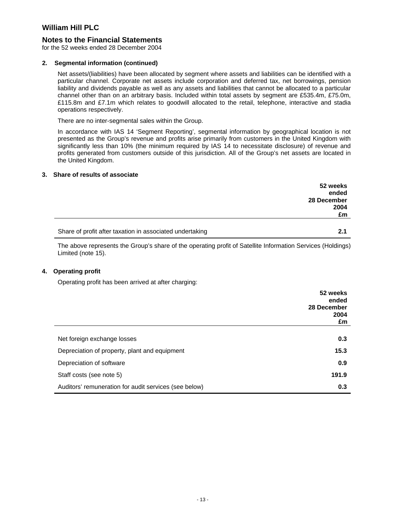### **Notes to the Financial Statements**

for the 52 weeks ended 28 December 2004

### **2. Segmental information (continued)**

Net assets/(liabilities) have been allocated by segment where assets and liabilities can be identified with a particular channel. Corporate net assets include corporation and deferred tax, net borrowings, pension liability and dividends payable as well as any assets and liabilities that cannot be allocated to a particular channel other than on an arbitrary basis. Included within total assets by segment are £535.4m, £75.0m, £115.8m and £7.1m which relates to goodwill allocated to the retail, telephone, interactive and stadia operations respectively.

There are no inter-segmental sales within the Group.

In accordance with IAS 14 'Segment Reporting', segmental information by geographical location is not presented as the Group's revenue and profits arise primarily from customers in the United Kingdom with significantly less than 10% (the minimum required by IAS 14 to necessitate disclosure) of revenue and profits generated from customers outside of this jurisdiction. All of the Group's net assets are located in the United Kingdom.

### **3. Share of results of associate**

|                                                          | 52 weeks    |
|----------------------------------------------------------|-------------|
|                                                          | ended       |
|                                                          | 28 December |
|                                                          | 2004        |
|                                                          | £m          |
|                                                          |             |
| Share of profit after taxation in associated undertaking | 21          |

The above represents the Group's share of the operating profit of Satellite Information Services (Holdings) Limited (note 15).

### **4. Operating profit**

Operating profit has been arrived at after charging:

|                                                       | 52 weeks<br>ended<br>28 December<br>2004<br>£m |
|-------------------------------------------------------|------------------------------------------------|
|                                                       |                                                |
| Net foreign exchange losses                           | 0.3                                            |
| Depreciation of property, plant and equipment         | 15.3                                           |
| Depreciation of software                              | 0.9                                            |
| Staff costs (see note 5)                              | 191.9                                          |
| Auditors' remuneration for audit services (see below) | 0.3                                            |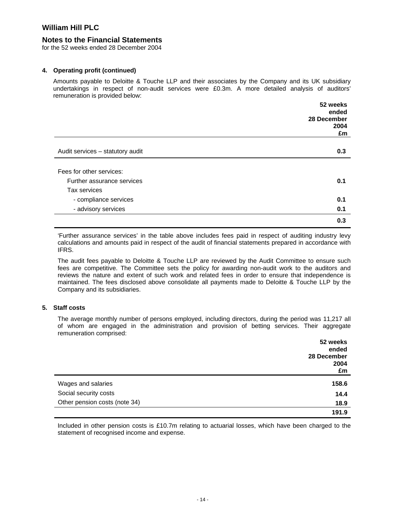### **Notes to the Financial Statements**

for the 52 weeks ended 28 December 2004

### **4. Operating profit (continued)**

Amounts payable to Deloitte & Touche LLP and their associates by the Company and its UK subsidiary undertakings in respect of non-audit services were £0.3m. A more detailed analysis of auditors' remuneration is provided below:

|                                  | 52 weeks    |
|----------------------------------|-------------|
|                                  | ended       |
|                                  | 28 December |
|                                  | 2004        |
|                                  | £m          |
|                                  |             |
| Audit services - statutory audit | 0.3         |
|                                  |             |
| Fees for other services:         |             |
| Further assurance services       | 0.1         |
| Tax services                     |             |
| - compliance services            | 0.1         |
| - advisory services              | 0.1         |
|                                  | 0.3         |

'Further assurance services' in the table above includes fees paid in respect of auditing industry levy calculations and amounts paid in respect of the audit of financial statements prepared in accordance with IFRS.

The audit fees payable to Deloitte & Touche LLP are reviewed by the Audit Committee to ensure such fees are competitive. The Committee sets the policy for awarding non-audit work to the auditors and reviews the nature and extent of such work and related fees in order to ensure that independence is maintained. The fees disclosed above consolidate all payments made to Deloitte & Touche LLP by the Company and its subsidiaries.

### **5. Staff costs**

The average monthly number of persons employed, including directors, during the period was 11,217 all of whom are engaged in the administration and provision of betting services. Their aggregate remuneration comprised:

|                               | 52 weeks    |
|-------------------------------|-------------|
|                               | ended       |
|                               | 28 December |
|                               | 2004        |
|                               | £m          |
| Wages and salaries            | 158.6       |
| Social security costs         | 14.4        |
| Other pension costs (note 34) | 18.9        |
|                               | 191.9       |

Included in other pension costs is £10.7m relating to actuarial losses, which have been charged to the statement of recognised income and expense.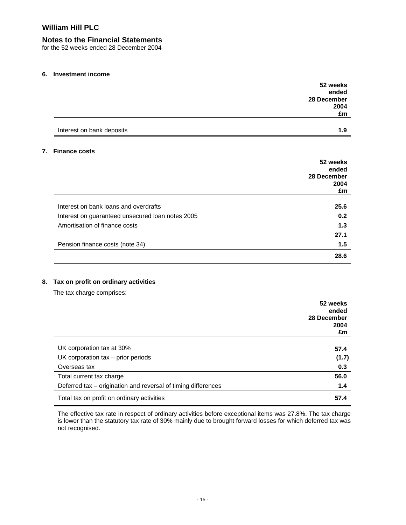### **Notes to the Financial Statements**

for the 52 weeks ended 28 December 2004

### **6. Investment income**

|    |                                                  | 52 weeks<br>ended<br>28 December<br>2004<br>£m |
|----|--------------------------------------------------|------------------------------------------------|
|    | Interest on bank deposits                        | 1.9                                            |
| 7. | <b>Finance costs</b>                             |                                                |
|    |                                                  | 52 weeks                                       |
|    |                                                  | ended                                          |
|    |                                                  | 28 December<br>2004                            |
|    |                                                  | £m                                             |
|    | Interest on bank loans and overdrafts            | 25.6                                           |
|    | Interest on guaranteed unsecured loan notes 2005 | 0.2                                            |
|    | Amortisation of finance costs                    | 1.3                                            |
|    |                                                  | 27.1                                           |
|    | Pension finance costs (note 34)                  | 1.5                                            |
|    |                                                  | 28.6                                           |
|    |                                                  |                                                |

### **8. Tax on profit on ordinary activities**

The tax charge comprises:

|                                                               | 52 weeks             |
|---------------------------------------------------------------|----------------------|
|                                                               | ended<br>28 December |
|                                                               | 2004                 |
|                                                               | £m                   |
|                                                               |                      |
| UK corporation tax at 30%                                     | 57.4                 |
| UK corporation $tax - prior$ periods                          | (1.7)                |
| Overseas tax                                                  | 0.3                  |
| Total current tax charge                                      | 56.0                 |
| Deferred tax – origination and reversal of timing differences | 1.4                  |
| Total tax on profit on ordinary activities                    | 57.4                 |

The effective tax rate in respect of ordinary activities before exceptional items was 27.8%. The tax charge is lower than the statutory tax rate of 30% mainly due to brought forward losses for which deferred tax was not recognised.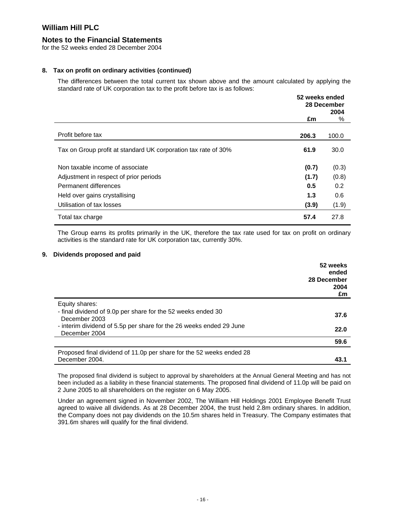### **Notes to the Financial Statements**

for the 52 weeks ended 28 December 2004

### **8. Tax on profit on ordinary activities (continued)**

The differences between the total current tax shown above and the amount calculated by applying the standard rate of UK corporation tax to the profit before tax is as follows:

|                                                                | 52 weeks ended<br>28 December<br>2004 |       |
|----------------------------------------------------------------|---------------------------------------|-------|
|                                                                | £m                                    | %     |
| Profit before tax                                              | 206.3                                 | 100.0 |
| Tax on Group profit at standard UK corporation tax rate of 30% | 61.9                                  | 30.0  |
| Non taxable income of associate                                | (0.7)                                 | (0.3) |
| Adjustment in respect of prior periods                         | (1.7)                                 | (0.8) |
| Permanent differences                                          | 0.5                                   | 0.2   |
| Held over gains crystallising                                  | 1.3                                   | 0.6   |
| Utilisation of tax losses                                      | (3.9)                                 | (1.9) |
| Total tax charge                                               | 57.4                                  | 27.8  |

The Group earns its profits primarily in the UK, therefore the tax rate used for tax on profit on ordinary activities is the standard rate for UK corporation tax, currently 30%.

### **9. Dividends proposed and paid**

|                                                                                      | 52 weeks<br>ended<br>28 December<br>2004<br>£m |
|--------------------------------------------------------------------------------------|------------------------------------------------|
| Equity shares:                                                                       |                                                |
| - final dividend of 9.0p per share for the 52 weeks ended 30<br>December 2003        | 37.6                                           |
| - interim dividend of 5.5p per share for the 26 weeks ended 29 June<br>December 2004 | 22.0                                           |
|                                                                                      | 59.6                                           |
| Proposed final dividend of 11.0p per share for the 52 weeks ended 28                 |                                                |
| December 2004.                                                                       | 43.1                                           |

The proposed final dividend is subject to approval by shareholders at the Annual General Meeting and has not been included as a liability in these financial statements. The proposed final dividend of 11.0p will be paid on 2 June 2005 to all shareholders on the register on 6 May 2005.

Under an agreement signed in November 2002, The William Hill Holdings 2001 Employee Benefit Trust agreed to waive all dividends. As at 28 December 2004, the trust held 2.8m ordinary shares. In addition, the Company does not pay dividends on the 10.5m shares held in Treasury. The Company estimates that 391.6m shares will qualify for the final dividend.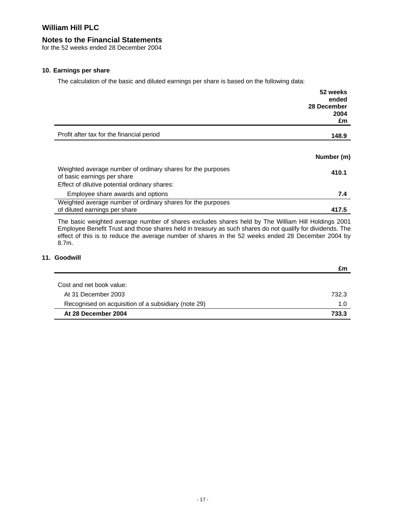### **Notes to the Financial Statements**

for the 52 weeks ended 28 December 2004

### **10. Earnings per share**

The calculation of the basic and diluted earnings per share is based on the following data:

|                                                                                            | 52 weeks    |
|--------------------------------------------------------------------------------------------|-------------|
|                                                                                            | ended       |
|                                                                                            | 28 December |
|                                                                                            | 2004        |
|                                                                                            | £m          |
| Profit after tax for the financial period                                                  | 148.9       |
|                                                                                            |             |
|                                                                                            | Number (m)  |
| Weighted average number of ordinary shares for the purposes<br>of basic earnings per share | 410.1       |
| Effect of dilutive potential ordinary shares:                                              |             |
| Employee share awards and options                                                          | 7.4         |
| Weighted average number of ordinary shares for the purposes                                |             |
| of diluted earnings per share                                                              | 417.5       |

The basic weighted average number of shares excludes shares held by The William Hill Holdings 2001 Employee Benefit Trust and those shares held in treasury as such shares do not qualify for dividends. The effect of this is to reduce the average number of shares in the 52 weeks ended 28 December 2004 by 8.7m.

### **11. Goodwill**

|                                                     | £m    |
|-----------------------------------------------------|-------|
|                                                     |       |
| Cost and net book value:                            |       |
| At 31 December 2003                                 | 732.3 |
| Recognised on acquisition of a subsidiary (note 29) | 1.0   |
| At 28 December 2004                                 | 733.3 |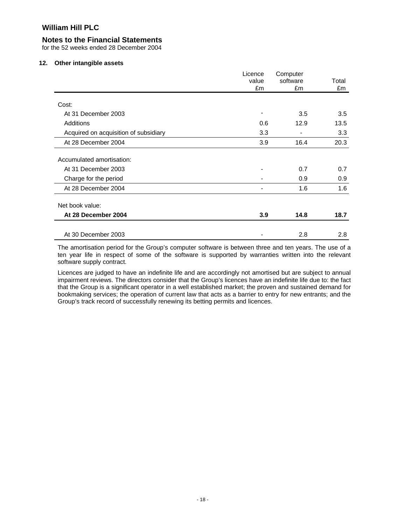### **Notes to the Financial Statements**

for the 52 weeks ended 28 December 2004

### **12. Other intangible assets**

|                                       | Licence                  | Computer       |             |
|---------------------------------------|--------------------------|----------------|-------------|
|                                       | value<br>£m              | software<br>£m | Total<br>£m |
|                                       |                          |                |             |
| Cost:                                 |                          |                |             |
| At 31 December 2003                   | $\overline{\phantom{a}}$ | 3.5            | 3.5         |
| Additions                             | 0.6                      | 12.9           | 13.5        |
| Acquired on acquisition of subsidiary | 3.3 <sub>2</sub>         |                | 3.3         |
| At 28 December 2004                   | 3.9                      | 16.4           | 20.3        |
| Accumulated amortisation:             |                          |                |             |
| At 31 December 2003                   |                          | 0.7            | 0.7         |
| Charge for the period                 |                          | 0.9            | 0.9         |
| At 28 December 2004                   |                          | 1.6            | 1.6         |
| Net book value:                       |                          |                |             |
| At 28 December 2004                   | 3.9                      | 14.8           | 18.7        |
| At 30 December 2003                   |                          | 2.8            | 2.8         |

The amortisation period for the Group's computer software is between three and ten years. The use of a ten year life in respect of some of the software is supported by warranties written into the relevant software supply contract.

Licences are judged to have an indefinite life and are accordingly not amortised but are subject to annual impairment reviews. The directors consider that the Group's licences have an indefinite life due to: the fact that the Group is a significant operator in a well established market; the proven and sustained demand for bookmaking services; the operation of current law that acts as a barrier to entry for new entrants; and the Group's track record of successfully renewing its betting permits and licences.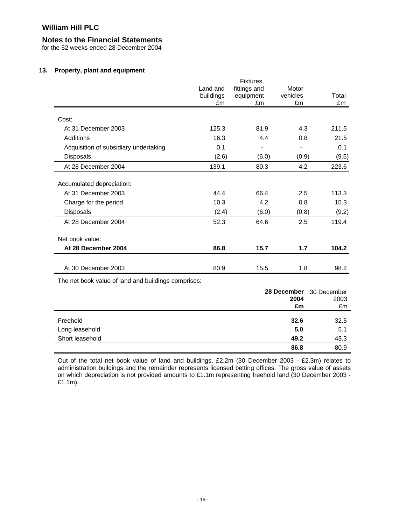### **Notes to the Financial Statements**

for the 52 weeks ended 28 December 2004

### **13. Property, plant and equipment**

|                                                     |           | Fixtures,                    |             |             |
|-----------------------------------------------------|-----------|------------------------------|-------------|-------------|
|                                                     | Land and  | fittings and                 | Motor       |             |
|                                                     | buildings | equipment                    | vehicles    | Total       |
|                                                     | £m        | £m                           | £m          | £m          |
| Cost:                                               |           |                              |             |             |
| At 31 December 2003                                 | 125.3     | 81.9                         | 4.3         | 211.5       |
| Additions                                           | 16.3      | 4.4                          | 0.8         | 21.5        |
| Acquisition of subsidiary undertaking               | 0.1       | $\qquad \qquad \blacksquare$ |             | 0.1         |
| <b>Disposals</b>                                    | (2.6)     | (6.0)                        | (0.9)       | (9.5)       |
| At 28 December 2004                                 | 139.1     | 80.3                         | 4.2         | 223.6       |
| Accumulated depreciation:                           |           |                              |             |             |
| At 31 December 2003                                 | 44.4      | 66.4                         | 2.5         | 113.3       |
| Charge for the period                               | 10.3      | 4.2                          | 0.8         | 15.3        |
| <b>Disposals</b>                                    | (2.4)     | (6.0)                        | (0.8)       | (9.2)       |
| At 28 December 2004                                 | 52.3      | 64.6                         | 2.5         | 119.4       |
| Net book value:                                     |           |                              |             |             |
| At 28 December 2004                                 | 86.8      | 15.7                         | 1.7         | 104.2       |
|                                                     |           |                              |             |             |
| At 30 December 2003                                 | 80.9      | 15.5                         | 1.8         | 98.2        |
| The net book value of land and buildings comprises: |           |                              |             |             |
|                                                     |           |                              | 28 December | 30 December |
|                                                     |           |                              | 2004        | 2003        |
|                                                     |           |                              | £m          | £m          |
| Freehold                                            |           |                              | 32.6        | 32.5        |
| Long leasehold                                      |           |                              | 5.0         | 5.1         |

Out of the total net book value of land and buildings, £2.2m (30 December 2003 - £2.3m) relates to administration buildings and the remainder represents licensed betting offices. The gross value of assets on which depreciation is not provided amounts to £1.1m representing freehold land (30 December 2003 - £1.1m).

Short leasehold **49.2** 43.3

 **86.8** 80.9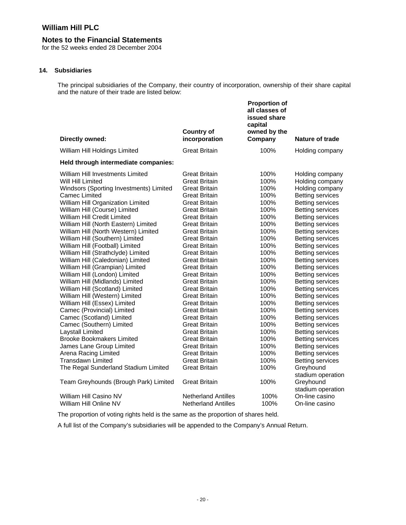### **Notes to the Financial Statements**

for the 52 weeks ended 28 December 2004

### **14. Subsidiaries**

The principal subsidiaries of the Company, their country of incorporation, ownership of their share capital and the nature of their trade are listed below:

| Directly owned:                                                                                                                                                                                                                                                                                                                                                                                                                                                                                                                                                                                                                                                                                                                                                                                                                                                              | <b>Country of</b><br>incorporation                                                                                                                                                                                                                                                                                                                                                                                                                                                                                                                                                   | <b>Proportion of</b><br>all classes of<br>issued share<br>capital<br>owned by the<br>Company                                                                                                                 | Nature of trade                                                                                                                                                                                                                                                                                                                                                                                                                                                                                                                                                                                                                                                                                    |
|------------------------------------------------------------------------------------------------------------------------------------------------------------------------------------------------------------------------------------------------------------------------------------------------------------------------------------------------------------------------------------------------------------------------------------------------------------------------------------------------------------------------------------------------------------------------------------------------------------------------------------------------------------------------------------------------------------------------------------------------------------------------------------------------------------------------------------------------------------------------------|--------------------------------------------------------------------------------------------------------------------------------------------------------------------------------------------------------------------------------------------------------------------------------------------------------------------------------------------------------------------------------------------------------------------------------------------------------------------------------------------------------------------------------------------------------------------------------------|--------------------------------------------------------------------------------------------------------------------------------------------------------------------------------------------------------------|----------------------------------------------------------------------------------------------------------------------------------------------------------------------------------------------------------------------------------------------------------------------------------------------------------------------------------------------------------------------------------------------------------------------------------------------------------------------------------------------------------------------------------------------------------------------------------------------------------------------------------------------------------------------------------------------------|
| William Hill Holdings Limited                                                                                                                                                                                                                                                                                                                                                                                                                                                                                                                                                                                                                                                                                                                                                                                                                                                | <b>Great Britain</b>                                                                                                                                                                                                                                                                                                                                                                                                                                                                                                                                                                 | 100%                                                                                                                                                                                                         | Holding company                                                                                                                                                                                                                                                                                                                                                                                                                                                                                                                                                                                                                                                                                    |
| Held through intermediate companies:                                                                                                                                                                                                                                                                                                                                                                                                                                                                                                                                                                                                                                                                                                                                                                                                                                         |                                                                                                                                                                                                                                                                                                                                                                                                                                                                                                                                                                                      |                                                                                                                                                                                                              |                                                                                                                                                                                                                                                                                                                                                                                                                                                                                                                                                                                                                                                                                                    |
| William Hill Investments Limited<br>Will Hill Limited<br>Windsors (Sporting Investments) Limited<br><b>Camec Limited</b><br>William Hill Organization Limited<br>William Hill (Course) Limited<br>William Hill Credit Limited<br>William Hill (North Eastern) Limited<br>William Hill (North Western) Limited<br>William Hill (Southern) Limited<br>William Hill (Football) Limited<br>William Hill (Strathclyde) Limited<br>William Hill (Caledonian) Limited<br>William Hill (Grampian) Limited<br>William Hill (London) Limited<br>William Hill (Midlands) Limited<br>William Hill (Scotland) Limited<br>William Hill (Western) Limited<br>William Hill (Essex) Limited<br>Camec (Provincial) Limited<br>Camec (Scotland) Limited<br>Camec (Southern) Limited<br>Laystall Limited<br><b>Brooke Bookmakers Limited</b><br>James Lane Group Limited<br>Arena Racing Limited | Great Britain<br>Great Britain<br>Great Britain<br><b>Great Britain</b><br><b>Great Britain</b><br><b>Great Britain</b><br><b>Great Britain</b><br>Great Britain<br>Great Britain<br><b>Great Britain</b><br><b>Great Britain</b><br><b>Great Britain</b><br><b>Great Britain</b><br><b>Great Britain</b><br><b>Great Britain</b><br>Great Britain<br><b>Great Britain</b><br><b>Great Britain</b><br><b>Great Britain</b><br><b>Great Britain</b><br><b>Great Britain</b><br>Great Britain<br><b>Great Britain</b><br><b>Great Britain</b><br><b>Great Britain</b><br>Great Britain | 100%<br>100%<br>100%<br>100%<br>100%<br>100%<br>100%<br>100%<br>100%<br>100%<br>100%<br>100%<br>100%<br>100%<br>100%<br>100%<br>100%<br>100%<br>100%<br>100%<br>100%<br>100%<br>100%<br>100%<br>100%<br>100% | Holding company<br>Holding company<br>Holding company<br><b>Betting services</b><br><b>Betting services</b><br><b>Betting services</b><br><b>Betting services</b><br><b>Betting services</b><br><b>Betting services</b><br><b>Betting services</b><br><b>Betting services</b><br><b>Betting services</b><br><b>Betting services</b><br><b>Betting services</b><br><b>Betting services</b><br><b>Betting services</b><br><b>Betting services</b><br><b>Betting services</b><br><b>Betting services</b><br><b>Betting services</b><br><b>Betting services</b><br><b>Betting services</b><br><b>Betting services</b><br><b>Betting services</b><br><b>Betting services</b><br><b>Betting services</b> |
| Transdawn Limited<br>The Regal Sunderland Stadium Limited                                                                                                                                                                                                                                                                                                                                                                                                                                                                                                                                                                                                                                                                                                                                                                                                                    | <b>Great Britain</b><br><b>Great Britain</b>                                                                                                                                                                                                                                                                                                                                                                                                                                                                                                                                         | 100%<br>100%                                                                                                                                                                                                 | <b>Betting services</b><br>Greyhound                                                                                                                                                                                                                                                                                                                                                                                                                                                                                                                                                                                                                                                               |
| Team Greyhounds (Brough Park) Limited                                                                                                                                                                                                                                                                                                                                                                                                                                                                                                                                                                                                                                                                                                                                                                                                                                        | <b>Great Britain</b>                                                                                                                                                                                                                                                                                                                                                                                                                                                                                                                                                                 | 100%                                                                                                                                                                                                         | stadium operation<br>Greyhound<br>stadium operation                                                                                                                                                                                                                                                                                                                                                                                                                                                                                                                                                                                                                                                |
| William Hill Casino NV<br>William Hill Online NV                                                                                                                                                                                                                                                                                                                                                                                                                                                                                                                                                                                                                                                                                                                                                                                                                             | <b>Netherland Antilles</b><br><b>Netherland Antilles</b>                                                                                                                                                                                                                                                                                                                                                                                                                                                                                                                             | 100%<br>100%                                                                                                                                                                                                 | On-line casino<br>On-line casino                                                                                                                                                                                                                                                                                                                                                                                                                                                                                                                                                                                                                                                                   |

The proportion of voting rights held is the same as the proportion of shares held.

A full list of the Company's subsidiaries will be appended to the Company's Annual Return.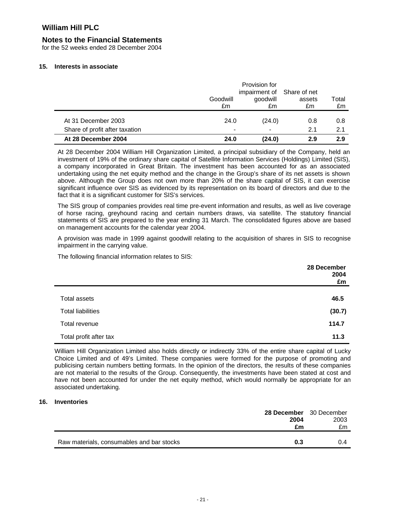### **Notes to the Financial Statements**

for the 52 weeks ended 28 December 2004

### **15. Interests in associate**

|                                                       | Goodwill<br>£m | Provision for<br>impairment of Share of net<br>goodwill<br>£m | assets<br>£m | Total<br>£m |
|-------------------------------------------------------|----------------|---------------------------------------------------------------|--------------|-------------|
| At 31 December 2003<br>Share of profit after taxation | 24.0           | (24.0)<br>$\blacksquare$                                      | 0.8<br>2.1   | 0.8<br>2.1  |
| At 28 December 2004                                   | 24.0           | (24.0)                                                        | 2.9          | 2.9         |

At 28 December 2004 William Hill Organization Limited, a principal subsidiary of the Company, held an investment of 19% of the ordinary share capital of Satellite Information Services (Holdings) Limited (SIS), a company incorporated in Great Britain. The investment has been accounted for as an associated undertaking using the net equity method and the change in the Group's share of its net assets is shown above. Although the Group does not own more than 20% of the share capital of SIS, it can exercise significant influence over SIS as evidenced by its representation on its board of directors and due to the fact that it is a significant customer for SIS's services.

The SIS group of companies provides real time pre-event information and results, as well as live coverage of horse racing, greyhound racing and certain numbers draws, via satellite. The statutory financial statements of SIS are prepared to the year ending 31 March. The consolidated figures above are based on management accounts for the calendar year 2004.

A provision was made in 1999 against goodwill relating to the acquisition of shares in SIS to recognise impairment in the carrying value.

The following financial information relates to SIS:

|                          | 28 December<br>2004<br>£m |
|--------------------------|---------------------------|
| <b>Total assets</b>      | 46.5                      |
| <b>Total liabilities</b> | (30.7)                    |
| Total revenue            | 114.7                     |
| Total profit after tax   | 11.3                      |

William Hill Organization Limited also holds directly or indirectly 33% of the entire share capital of Lucky Choice Limited and of 49's Limited. These companies were formed for the purpose of promoting and publicising certain numbers betting formats. In the opinion of the directors, the results of these companies are not material to the results of the Group. Consequently, the investments have been stated at cost and have not been accounted for under the net equity method, which would normally be appropriate for an associated undertaking.

### **16. Inventories**

| 28 December 30 December                          |      |
|--------------------------------------------------|------|
| 2004                                             | 2003 |
| £m                                               | £m   |
|                                                  |      |
| Raw materials, consumables and bar stocks<br>0.3 | 0.4  |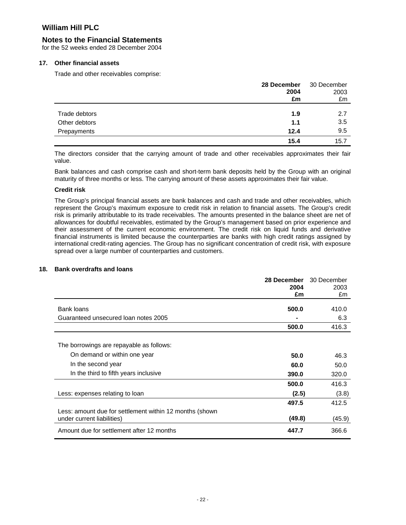### **Notes to the Financial Statements**

for the 52 weeks ended 28 December 2004

### **17. Other financial assets**

Trade and other receivables comprise:

|               | 28 December | 30 December |
|---------------|-------------|-------------|
|               | 2004        | 2003        |
|               | £m          | £m          |
|               |             |             |
| Trade debtors | 1.9         | 2.7         |
| Other debtors | 1.1         | 3.5         |
| Prepayments   | 12.4        | 9.5         |
|               | 15.4        | 15.7        |

The directors consider that the carrying amount of trade and other receivables approximates their fair value.

Bank balances and cash comprise cash and short-term bank deposits held by the Group with an original maturity of three months or less. The carrying amount of these assets approximates their fair value.

### **Credit risk**

The Group's principal financial assets are bank balances and cash and trade and other receivables, which represent the Group's maximum exposure to credit risk in relation to financial assets. The Group's credit risk is primarily attributable to its trade receivables. The amounts presented in the balance sheet are net of allowances for doubtful receivables, estimated by the Group's management based on prior experience and their assessment of the current economic environment. The credit risk on liquid funds and derivative financial instruments is limited because the counterparties are banks with high credit ratings assigned by international credit-rating agencies. The Group has no significant concentration of credit risk, with exposure spread over a large number of counterparties and customers.

### **18. Bank overdrafts and loans**

|                                                                                       | 28 December<br>2004 | 30 December<br>2003 |
|---------------------------------------------------------------------------------------|---------------------|---------------------|
|                                                                                       | £m                  | £m                  |
| <b>Bank loans</b>                                                                     | 500.0               | 410.0               |
| Guaranteed unsecured loan notes 2005                                                  |                     | 6.3                 |
|                                                                                       | 500.0               | 416.3               |
|                                                                                       |                     |                     |
| The borrowings are repayable as follows:                                              |                     |                     |
| On demand or within one year                                                          | 50.0                | 46.3                |
| In the second year                                                                    | 60.0                | 50.0                |
| In the third to fifth years inclusive                                                 | 390.0               | 320.0               |
|                                                                                       | 500.0               | 416.3               |
| Less: expenses relating to loan                                                       | (2.5)               | (3.8)               |
|                                                                                       | 497.5               | 412.5               |
| Less: amount due for settlement within 12 months (shown<br>under current liabilities) | (49.8)              | (45.9)              |
| Amount due for settlement after 12 months                                             | 447.7               | 366.6               |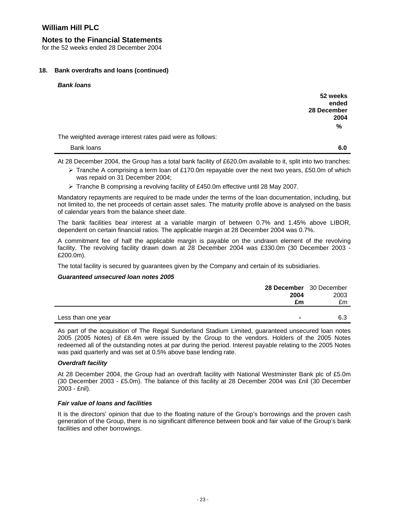### **Notes to the Financial Statements**

for the 52 weeks ended 28 December 2004

#### **18. Bank overdrafts and loans (continued)**

*Bank loans* 

|                                                           | 52 weeks    |
|-----------------------------------------------------------|-------------|
|                                                           | ended       |
|                                                           | 28 December |
|                                                           | 2004        |
|                                                           | %           |
| The weighted average interest rates paid were as follows: |             |
| Bank loans                                                | 6.0         |

At 28 December 2004, the Group has a total bank facility of £620.0m available to it, split into two tranches:

- ¾ Tranche A comprising a term loan of £170.0m repayable over the next two years, £50.0m of which was repaid on 31 December 2004;
- $\triangleright$  Tranche B comprising a revolving facility of £450.0m effective until 28 May 2007.

Mandatory repayments are required to be made under the terms of the loan documentation, including, but not limited to, the net proceeds of certain asset sales. The maturity profile above is analysed on the basis of calendar years from the balance sheet date.

The bank facilities bear interest at a variable margin of between 0.7% and 1.45% above LIBOR, dependent on certain financial ratios. The applicable margin at 28 December 2004 was 0.7%.

A commitment fee of half the applicable margin is payable on the undrawn element of the revolving facility. The revolving facility drawn down at 28 December 2004 was £330.0m (30 December 2003 - £200.0m).

The total facility is secured by guarantees given by the Company and certain of its subsidiaries.

### *Guaranteed unsecured loan notes 2005*

|                    | <b>28 December</b> 30 December |      |
|--------------------|--------------------------------|------|
|                    | 2004                           | 2003 |
|                    | £m                             | £m   |
|                    |                                |      |
| Less than one year | -                              | 6.3  |

As part of the acquisition of The Regal Sunderland Stadium Limited, guaranteed unsecured loan notes 2005 (2005 Notes) of £8.4m were issued by the Group to the vendors. Holders of the 2005 Notes redeemed all of the outstanding notes at par during the period. Interest payable relating to the 2005 Notes was paid quarterly and was set at 0.5% above base lending rate.

### *Overdraft facility*

At 28 December 2004, the Group had an overdraft facility with National Westminster Bank plc of £5.0m (30 December 2003 - £5.0m). The balance of this facility at 28 December 2004 was £nil (30 December 2003 - £nil).

### *Fair value of loans and facilities*

It is the directors' opinion that due to the floating nature of the Group's borrowings and the proven cash generation of the Group, there is no significant difference between book and fair value of the Group's bank facilities and other borrowings.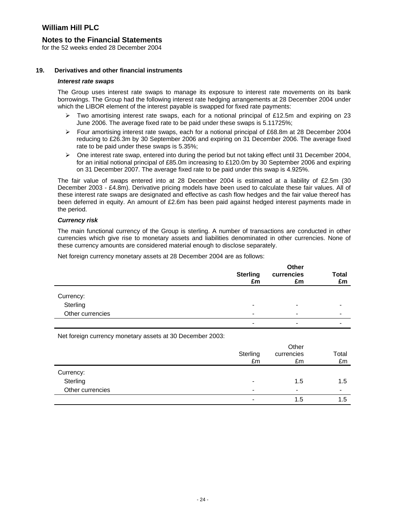### **Notes to the Financial Statements**

for the 52 weeks ended 28 December 2004

### **19. Derivatives and other financial instruments**

#### *Interest rate swaps*

The Group uses interest rate swaps to manage its exposure to interest rate movements on its bank borrowings. The Group had the following interest rate hedging arrangements at 28 December 2004 under which the LIBOR element of the interest payable is swapped for fixed rate payments:

- $\triangleright$  Two amortising interest rate swaps, each for a notional principal of £12.5m and expiring on 23 June 2006. The average fixed rate to be paid under these swaps is 5.11725%;
- ¾ Four amortising interest rate swaps, each for a notional principal of £68.8m at 28 December 2004 reducing to £26.3m by 30 September 2006 and expiring on 31 December 2006. The average fixed rate to be paid under these swaps is 5.35%;
- ¾ One interest rate swap, entered into during the period but not taking effect until 31 December 2004, for an initial notional principal of £85.0m increasing to £120.0m by 30 September 2006 and expiring on 31 December 2007. The average fixed rate to be paid under this swap is 4.925%.

The fair value of swaps entered into at 28 December 2004 is estimated at a liability of £2.5m (30 December 2003 - £4.8m). Derivative pricing models have been used to calculate these fair values. All of these interest rate swaps are designated and effective as cash flow hedges and the fair value thereof has been deferred in equity. An amount of £2.6m has been paid against hedged interest payments made in the period.

### *Currency risk*

The main functional currency of the Group is sterling. A number of transactions are conducted in other currencies which give rise to monetary assets and liabilities denominated in other currencies. None of these currency amounts are considered material enough to disclose separately.

Net foreign currency monetary assets at 28 December 2004 are as follows:

|                  | <b>Sterling</b><br>£m    | Other<br>currencies<br>£m | <b>Total</b><br>£m |
|------------------|--------------------------|---------------------------|--------------------|
| Currency:        |                          |                           |                    |
| Sterling         | $\blacksquare$           | $\,$                      |                    |
| Other currencies | $\blacksquare$           | $\,$                      | -                  |
|                  | $\overline{\phantom{0}}$ | $\overline{\phantom{a}}$  |                    |

Net foreign currency monetary assets at 30 December 2003:

|                  | Sterling<br>£m | Other<br>currencies<br>£m | Total<br>£m              |
|------------------|----------------|---------------------------|--------------------------|
| Currency:        |                |                           |                          |
| Sterling         | $\,$           | 1.5                       | $1.5^{\circ}$            |
| Other currencies | $\,$           | $\,$                      | $\overline{\phantom{0}}$ |
|                  | $\blacksquare$ | 1.5                       | 1.5                      |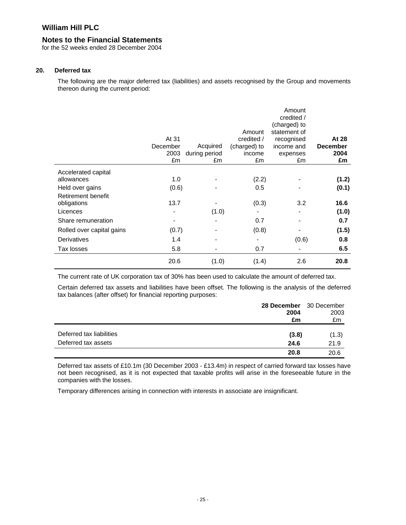### **Notes to the Financial Statements**

for the 52 weeks ended 28 December 2004

### **20. Deferred tax**

The following are the major deferred tax (liabilities) and assets recognised by the Group and movements thereon during the current period:

|                           |          |               |              | Amount<br>credited / |                 |
|---------------------------|----------|---------------|--------------|----------------------|-----------------|
|                           |          |               |              | (charged) to         |                 |
|                           |          |               | Amount       | statement of         |                 |
|                           | At 31    |               | credited /   | recognised           | At 28           |
|                           | December | Acquired      | (charged) to | income and           | <b>December</b> |
|                           | 2003     | during period | income       | expenses             | 2004            |
|                           | £m       | £m            | £m           | £m                   | £m              |
| Accelerated capital       |          |               |              |                      |                 |
| allowances                | 1.0      |               | (2.2)        |                      | (1.2)           |
| Held over gains           | (0.6)    |               | 0.5          |                      | (0.1)           |
| Retirement benefit        |          |               |              |                      |                 |
| obligations               | 13.7     |               | (0.3)        | 3.2                  | 16.6            |
| Licences                  |          | (1.0)         |              |                      | (1.0)           |
| Share remuneration        |          |               | 0.7          |                      | 0.7             |
| Rolled over capital gains | (0.7)    |               | (0.8)        |                      | (1.5)           |
| Derivatives               | 1.4      |               |              | (0.6)                | 0.8             |
| Tax losses                | 5.8      |               | 0.7          |                      | 6.5             |
|                           | 20.6     | (1.0)         | (1.4)        | 2.6                  | 20.8            |

The current rate of UK corporation tax of 30% has been used to calculate the amount of deferred tax.

Certain deferred tax assets and liabilities have been offset. The following is the analysis of the deferred tax balances (after offset) for financial reporting purposes:

|                          | 30 December<br>28 December |       |
|--------------------------|----------------------------|-------|
|                          | 2004                       | 2003  |
|                          | £m                         | £m    |
|                          |                            |       |
| Deferred tax liabilities | (3.8)                      | (1.3) |
| Deferred tax assets      | 24.6                       | 21.9  |
|                          | 20.8                       | 20.6  |

Deferred tax assets of £10.1m (30 December 2003 - £13.4m) in respect of carried forward tax losses have not been recognised, as it is not expected that taxable profits will arise in the foreseeable future in the companies with the losses.

Temporary differences arising in connection with interests in associate are insignificant.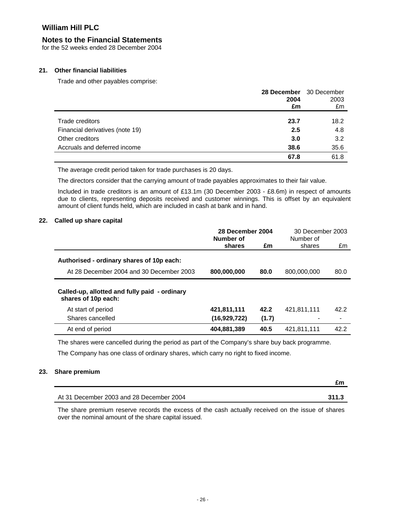### **Notes to the Financial Statements**

for the 52 weeks ended 28 December 2004

### **21. Other financial liabilities**

Trade and other payables comprise:

|                                 | 28 December<br>2004<br>£m | 30 December<br>2003<br>£m |
|---------------------------------|---------------------------|---------------------------|
|                                 |                           |                           |
| Trade creditors                 | 23.7                      | 18.2                      |
| Financial derivatives (note 19) | 2.5                       | 4.8                       |
| Other creditors                 | 3.0                       | 3.2                       |
| Accruals and deferred income    | 38.6                      | 35.6                      |
|                                 | 67.8                      | 61.8                      |

The average credit period taken for trade purchases is 20 days.

The directors consider that the carrying amount of trade payables approximates to their fair value.

Included in trade creditors is an amount of £13.1m (30 December 2003 - £8.6m) in respect of amounts due to clients, representing deposits received and customer winnings. This is offset by an equivalent amount of client funds held, which are included in cash at bank and in hand.

### **22. Called up share capital**

|                                                                      | 28 December 2004<br>Number of |       | 30 December 2003<br>Number of |                |
|----------------------------------------------------------------------|-------------------------------|-------|-------------------------------|----------------|
|                                                                      | shares                        | £m    | shares                        | £m             |
| Authorised - ordinary shares of 10p each:                            |                               |       |                               |                |
| At 28 December 2004 and 30 December 2003                             | 800,000,000                   | 80.0  | 800.000.000                   | 80.0           |
| Called-up, allotted and fully paid - ordinary<br>shares of 10p each: |                               |       |                               |                |
| At start of period                                                   | 421,811,111                   | 42.2  | 421.811.111                   | 42.2           |
| Shares cancelled                                                     | (16,929,722)                  | (1.7) |                               | $\blacksquare$ |
| At end of period                                                     | 404,881,389                   | 40.5  | 421,811,111                   | 42.2           |

The shares were cancelled during the period as part of the Company's share buy back programme.

The Company has one class of ordinary shares, which carry no right to fixed income.

### **23. Share premium**

|                                          | £m    |
|------------------------------------------|-------|
|                                          |       |
| At 31 December 2003 and 28 December 2004 | 311.3 |

The share premium reserve records the excess of the cash actually received on the issue of shares over the nominal amount of the share capital issued.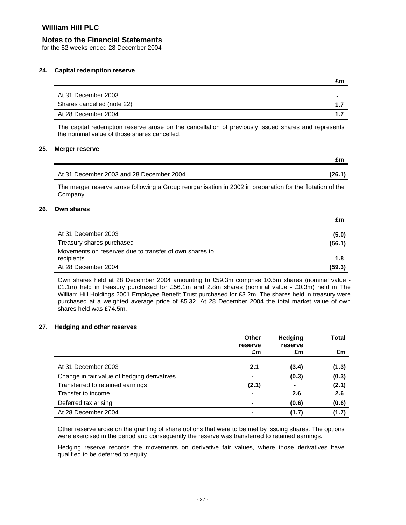### **Notes to the Financial Statements**

for the 52 weeks ended 28 December 2004

### **24. Capital redemption reserve**

|                            | £m   |
|----------------------------|------|
| At 31 December 2003        |      |
| Shares cancelled (note 22) | 17   |
| At 28 December 2004        | -1.7 |

The capital redemption reserve arose on the cancellation of previously issued shares and represents the nominal value of those shares cancelled.

#### **25. Merger reserve**

|                                          | £m     |
|------------------------------------------|--------|
|                                          |        |
| At 31 December 2003 and 28 December 2004 | (26.1) |

The merger reserve arose following a Group reorganisation in 2002 in preparation for the flotation of the Company.

### **26. Own shares**

|                                                        | £m     |
|--------------------------------------------------------|--------|
| At 31 December 2003                                    | (5.0)  |
| Treasury shares purchased                              | (56.1) |
| Movements on reserves due to transfer of own shares to |        |
| recipients                                             | 1.8    |
| At 28 December 2004                                    | (59.3) |

Own shares held at 28 December 2004 amounting to £59.3m comprise 10.5m shares (nominal value - £1.1m) held in treasury purchased for £56.1m and 2.8m shares (nominal value - £0.3m) held in The William Hill Holdings 2001 Employee Benefit Trust purchased for £3.2m. The shares held in treasury were purchased at a weighted average price of £5.32. At 28 December 2004 the total market value of own shares held was £74.5m.

### **27. Hedging and other reserves**

|                                             | <b>Other</b><br>reserve | <b>Hedging</b><br>reserve | Total |
|---------------------------------------------|-------------------------|---------------------------|-------|
|                                             | £m                      | £m                        | £m    |
| At 31 December 2003                         | 2.1                     | (3.4)                     | (1.3) |
| Change in fair value of hedging derivatives | ۰                       | (0.3)                     | (0.3) |
| Transferred to retained earnings            | (2.1)                   | ۰                         | (2.1) |
| Transfer to income                          | ۰                       | 2.6                       | 2.6   |
| Deferred tax arising                        |                         | (0.6)                     | (0.6) |
| At 28 December 2004                         |                         | (1.7)                     | (1.7) |

Other reserve arose on the granting of share options that were to be met by issuing shares. The options were exercised in the period and consequently the reserve was transferred to retained earnings.

Hedging reserve records the movements on derivative fair values, where those derivatives have qualified to be deferred to equity.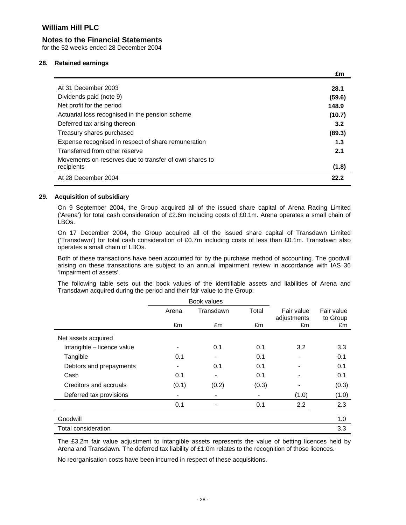### **Notes to the Financial Statements**

for the 52 weeks ended 28 December 2004

### **28. Retained earnings**

|                                                        | £m     |
|--------------------------------------------------------|--------|
| At 31 December 2003                                    | 28.1   |
| Dividends paid (note 9)                                | (59.6) |
| Net profit for the period                              | 148.9  |
| Actuarial loss recognised in the pension scheme        | (10.7) |
| Deferred tax arising thereon                           | 3.2    |
| Treasury shares purchased                              | (89.3) |
| Expense recognised in respect of share remuneration    | 1.3    |
| Transferred from other reserve                         | 2.1    |
| Movements on reserves due to transfer of own shares to |        |
| recipients                                             | (1.8)  |
| At 28 December 2004                                    | 22.2   |

### **29. Acquisition of subsidiary**

On 9 September 2004, the Group acquired all of the issued share capital of Arena Racing Limited ('Arena') for total cash consideration of £2.6m including costs of £0.1m. Arena operates a small chain of LBOs.

On 17 December 2004, the Group acquired all of the issued share capital of Transdawn Limited ('Transdawn') for total cash consideration of £0.7m including costs of less than £0.1m. Transdawn also operates a small chain of LBOs.

Both of these transactions have been accounted for by the purchase method of accounting. The goodwill arising on these transactions are subject to an annual impairment review in accordance with IAS 36 'Impairment of assets'.

The following table sets out the book values of the identifiable assets and liabilities of Arena and Transdawn acquired during the period and their fair value to the Group:

|                            | Book values |           |       |                           |                        |
|----------------------------|-------------|-----------|-------|---------------------------|------------------------|
|                            | Arena       | Transdawn | Total | Fair value<br>adjustments | Fair value<br>to Group |
|                            | £m          | £m        | £m    | £m                        | £m                     |
| Net assets acquired        |             |           |       |                           |                        |
| Intangible - licence value |             | 0.1       | 0.1   | 3.2                       | 3.3                    |
| Tangible                   | 0.1         |           | 0.1   |                           | 0.1                    |
| Debtors and prepayments    |             | 0.1       | 0.1   |                           | 0.1                    |
| Cash                       | 0.1         |           | 0.1   |                           | 0.1                    |
| Creditors and accruals     | (0.1)       | (0.2)     | (0.3) |                           | (0.3)                  |
| Deferred tax provisions    |             |           |       | (1.0)                     | (1.0)                  |
|                            | 0.1         |           | 0.1   | 2.2                       | 2.3                    |
| Goodwill                   |             |           |       |                           | 1.0                    |
| Total consideration        |             |           |       |                           | 3.3                    |

The £3.2m fair value adjustment to intangible assets represents the value of betting licences held by Arena and Transdawn. The deferred tax liability of £1.0m relates to the recognition of those licences.

No reorganisation costs have been incurred in respect of these acquisitions.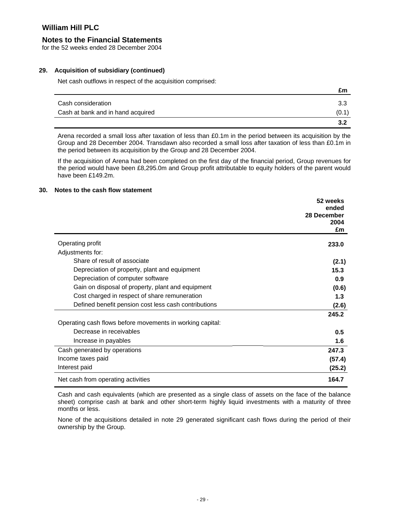### **Notes to the Financial Statements**

for the 52 weeks ended 28 December 2004

### **29. Acquisition of subsidiary (continued)**

Net cash outflows in respect of the acquisition comprised:

|                                   | £m    |
|-----------------------------------|-------|
| Cash consideration                | 3.3   |
| Cash at bank and in hand acquired | (0.1) |
|                                   | 3.2   |

Arena recorded a small loss after taxation of less than £0.1m in the period between its acquisition by the Group and 28 December 2004. Transdawn also recorded a small loss after taxation of less than £0.1m in the period between its acquisition by the Group and 28 December 2004.

If the acquisition of Arena had been completed on the first day of the financial period, Group revenues for the period would have been £8,295.0m and Group profit attributable to equity holders of the parent would have been £149.2m.

### **30. Notes to the cash flow statement**

|                                                           | 52 weeks    |
|-----------------------------------------------------------|-------------|
|                                                           | ended       |
|                                                           | 28 December |
|                                                           | 2004        |
|                                                           | £m          |
| Operating profit                                          | 233.0       |
| Adjustments for:                                          |             |
| Share of result of associate                              | (2.1)       |
| Depreciation of property, plant and equipment             | 15.3        |
| Depreciation of computer software                         | 0.9         |
| Gain on disposal of property, plant and equipment         | (0.6)       |
| Cost charged in respect of share remuneration             | 1.3         |
| Defined benefit pension cost less cash contributions      | (2.6)       |
|                                                           | 245.2       |
| Operating cash flows before movements in working capital: |             |
| Decrease in receivables                                   | 0.5         |
| Increase in payables                                      | 1.6         |
| Cash generated by operations                              | 247.3       |
| Income taxes paid                                         | (57.4)      |
| Interest paid                                             | (25.2)      |
| Net cash from operating activities                        | 164.7       |

Cash and cash equivalents (which are presented as a single class of assets on the face of the balance sheet) comprise cash at bank and other short-term highly liquid investments with a maturity of three months or less.

None of the acquisitions detailed in note 29 generated significant cash flows during the period of their ownership by the Group.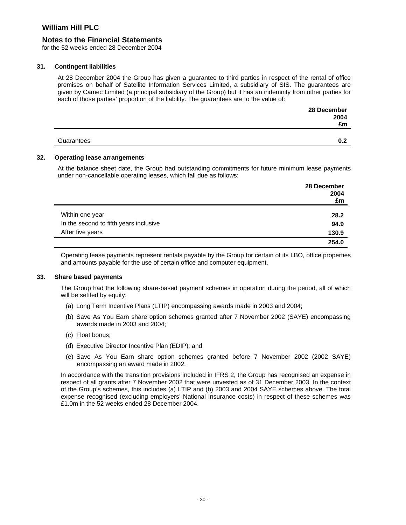### **Notes to the Financial Statements**

for the 52 weeks ended 28 December 2004

#### **31. Contingent liabilities**

At 28 December 2004 the Group has given a guarantee to third parties in respect of the rental of office premises on behalf of Satellite Information Services Limited, a subsidiary of SIS. The guarantees are given by Camec Limited (a principal subsidiary of the Group) but it has an indemnity from other parties for each of those parties' proportion of the liability. The guarantees are to the value of:

|            | 28 December<br>2004 |
|------------|---------------------|
|            | £m                  |
|            |                     |
| Guarantees | 0.2                 |

#### **32. Operating lease arrangements**

At the balance sheet date, the Group had outstanding commitments for future minimum lease payments under non-cancellable operating leases, which fall due as follows:

|                                        | 28 December<br>2004<br>£m |
|----------------------------------------|---------------------------|
|                                        |                           |
| Within one year                        | 28.2                      |
| In the second to fifth years inclusive | 94.9                      |
| After five years                       | 130.9                     |
|                                        | 254.0                     |

Operating lease payments represent rentals payable by the Group for certain of its LBO, office properties and amounts payable for the use of certain office and computer equipment.

### **33. Share based payments**

The Group had the following share-based payment schemes in operation during the period, all of which will be settled by equity:

- (a) Long Term Incentive Plans (LTIP) encompassing awards made in 2003 and 2004;
- (b) Save As You Earn share option schemes granted after 7 November 2002 (SAYE) encompassing awards made in 2003 and 2004;
- (c) Float bonus;
- (d) Executive Director Incentive Plan (EDIP); and
- (e) Save As You Earn share option schemes granted before 7 November 2002 (2002 SAYE) encompassing an award made in 2002.

In accordance with the transition provisions included in IFRS 2, the Group has recognised an expense in respect of all grants after 7 November 2002 that were unvested as of 31 December 2003. In the context of the Group's schemes, this includes (a) LTIP and (b) 2003 and 2004 SAYE schemes above. The total expense recognised (excluding employers' National Insurance costs) in respect of these schemes was £1.0m in the 52 weeks ended 28 December 2004.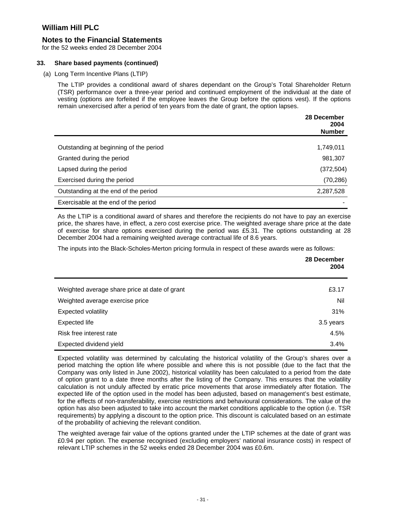### **Notes to the Financial Statements**

for the 52 weeks ended 28 December 2004

### **33. Share based payments (continued)**

(a) Long Term Incentive Plans (LTIP)

The LTIP provides a conditional award of shares dependant on the Group's Total Shareholder Return (TSR) performance over a three-year period and continued employment of the individual at the date of vesting (options are forfeited if the employee leaves the Group before the options vest). If the options remain unexercised after a period of ten years from the date of grant, the option lapses.

|                                        | 28 December<br>2004 |
|----------------------------------------|---------------------|
|                                        | <b>Number</b>       |
| Outstanding at beginning of the period | 1,749,011           |
| Granted during the period              | 981,307             |
| Lapsed during the period               | (372, 504)          |
| Exercised during the period            | (70, 286)           |
| Outstanding at the end of the period   | 2,287,528           |
| Exercisable at the end of the period   |                     |

As the LTIP is a conditional award of shares and therefore the recipients do not have to pay an exercise price, the shares have, in effect, a zero cost exercise price. The weighted average share price at the date of exercise for share options exercised during the period was £5.31. The options outstanding at 28 December 2004 had a remaining weighted average contractual life of 8.6 years.

The inputs into the Black-Scholes-Merton pricing formula in respect of these awards were as follows:

|                                               | 28 December<br>2004 |
|-----------------------------------------------|---------------------|
| Weighted average share price at date of grant | £3.17               |
| Weighted average exercise price               | Nil                 |
| <b>Expected volatility</b>                    | 31%                 |
| Expected life                                 | 3.5 years           |
| Risk free interest rate                       | 4.5%                |
| Expected dividend yield                       | 3.4%                |

Expected volatility was determined by calculating the historical volatility of the Group's shares over a period matching the option life where possible and where this is not possible (due to the fact that the Company was only listed in June 2002), historical volatility has been calculated to a period from the date of option grant to a date three months after the listing of the Company. This ensures that the volatility calculation is not unduly affected by erratic price movements that arose immediately after flotation. The expected life of the option used in the model has been adjusted, based on management's best estimate, for the effects of non-transferability, exercise restrictions and behavioural considerations. The value of the option has also been adjusted to take into account the market conditions applicable to the option (i.e. TSR requirements) by applying a discount to the option price. This discount is calculated based on an estimate of the probability of achieving the relevant condition.

The weighted average fair value of the options granted under the LTIP schemes at the date of grant was £0.94 per option. The expense recognised (excluding employers' national insurance costs) in respect of relevant LTIP schemes in the 52 weeks ended 28 December 2004 was £0.6m.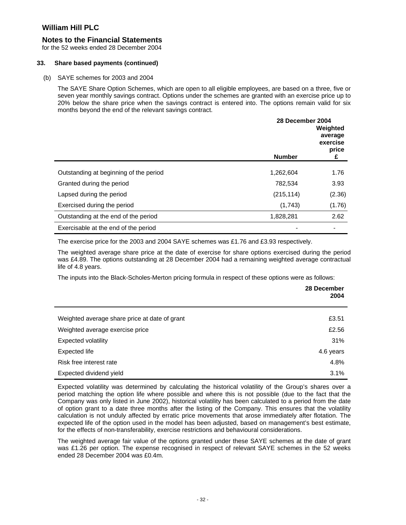# **Notes to the Financial Statements**

for the 52 weeks ended 28 December 2004

### **33. Share based payments (continued)**

(b) SAYE schemes for 2003 and 2004

The SAYE Share Option Schemes, which are open to all eligible employees, are based on a three, five or seven year monthly savings contract. Options under the schemes are granted with an exercise price up to 20% below the share price when the savings contract is entered into. The options remain valid for six months beyond the end of the relevant savings contract.

|                                        | 28 December 2004<br>Weighted<br>average<br>exercise<br>price |        |
|----------------------------------------|--------------------------------------------------------------|--------|
|                                        | <b>Number</b>                                                | £      |
| Outstanding at beginning of the period | 1,262,604                                                    | 1.76   |
| Granted during the period              | 782,534                                                      | 3.93   |
| Lapsed during the period               | (215, 114)                                                   | (2.36) |
| Exercised during the period            | (1,743)                                                      | (1.76) |
| Outstanding at the end of the period   | 1,828,281                                                    | 2.62   |
| Exercisable at the end of the period   |                                                              |        |

The exercise price for the 2003 and 2004 SAYE schemes was £1.76 and £3.93 respectively.

The weighted average share price at the date of exercise for share options exercised during the period was £4.89. The options outstanding at 28 December 2004 had a remaining weighted average contractual life of 4.8 years.

The inputs into the Black-Scholes-Merton pricing formula in respect of these options were as follows:

|                                               | 28 December<br>2004 |
|-----------------------------------------------|---------------------|
| Weighted average share price at date of grant | £3.51               |
| Weighted average exercise price               | £2.56               |
| <b>Expected volatility</b>                    | 31%                 |
| Expected life                                 | 4.6 years           |
| Risk free interest rate                       | 4.8%                |
| Expected dividend yield                       | 3.1%                |

Expected volatility was determined by calculating the historical volatility of the Group's shares over a period matching the option life where possible and where this is not possible (due to the fact that the Company was only listed in June 2002), historical volatility has been calculated to a period from the date of option grant to a date three months after the listing of the Company. This ensures that the volatility calculation is not unduly affected by erratic price movements that arose immediately after flotation. The expected life of the option used in the model has been adjusted, based on management's best estimate, for the effects of non-transferability, exercise restrictions and behavioural considerations.

The weighted average fair value of the options granted under these SAYE schemes at the date of grant was £1.26 per option. The expense recognised in respect of relevant SAYE schemes in the 52 weeks ended 28 December 2004 was £0.4m.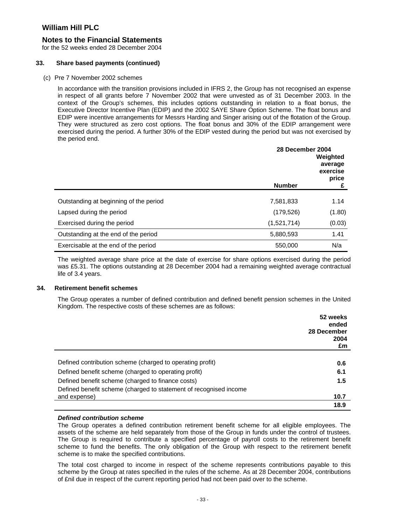### **Notes to the Financial Statements**

for the 52 weeks ended 28 December 2004

### **33. Share based payments (continued)**

(c) Pre 7 November 2002 schemes

In accordance with the transition provisions included in IFRS 2, the Group has not recognised an expense in respect of all grants before 7 November 2002 that were unvested as of 31 December 2003. In the context of the Group's schemes, this includes options outstanding in relation to a float bonus, the Executive Director Incentive Plan (EDIP) and the 2002 SAYE Share Option Scheme. The float bonus and EDIP were incentive arrangements for Messrs Harding and Singer arising out of the flotation of the Group. They were structured as zero cost options. The float bonus and 30% of the EDIP arrangement were exercised during the period. A further 30% of the EDIP vested during the period but was not exercised by the period end.

|                                        | 28 December 2004 | Weighted<br>average<br>exercise<br>price |
|----------------------------------------|------------------|------------------------------------------|
|                                        | <b>Number</b>    | £                                        |
| Outstanding at beginning of the period | 7,581,833        | 1.14                                     |
| Lapsed during the period               | (179, 526)       | (1.80)                                   |
| Exercised during the period            | (1,521,714)      | (0.03)                                   |
| Outstanding at the end of the period   | 5,880,593        | 1.41                                     |
| Exercisable at the end of the period   | 550,000          | N/a                                      |

The weighted average share price at the date of exercise for share options exercised during the period was £5.31. The options outstanding at 28 December 2004 had a remaining weighted average contractual life of 3.4 years.

### **34. Retirement benefit schemes**

The Group operates a number of defined contribution and defined benefit pension schemes in the United Kingdom. The respective costs of these schemes are as follows:

|                                                                   | 52 weeks<br>ended<br>28 December<br>2004<br>£m |
|-------------------------------------------------------------------|------------------------------------------------|
|                                                                   |                                                |
| Defined contribution scheme (charged to operating profit)         | 0.6                                            |
| Defined benefit scheme (charged to operating profit)              | 6.1                                            |
| Defined benefit scheme (charged to finance costs)                 | 1.5                                            |
| Defined benefit scheme (charged to statement of recognised income |                                                |
| and expense)                                                      | 10.7                                           |
|                                                                   | 18.9                                           |

### *Defined contribution scheme*

The Group operates a defined contribution retirement benefit scheme for all eligible employees. The assets of the scheme are held separately from those of the Group in funds under the control of trustees. The Group is required to contribute a specified percentage of payroll costs to the retirement benefit scheme to fund the benefits. The only obligation of the Group with respect to the retirement benefit scheme is to make the specified contributions.

The total cost charged to income in respect of the scheme represents contributions payable to this scheme by the Group at rates specified in the rules of the scheme. As at 28 December 2004, contributions of £nil due in respect of the current reporting period had not been paid over to the scheme.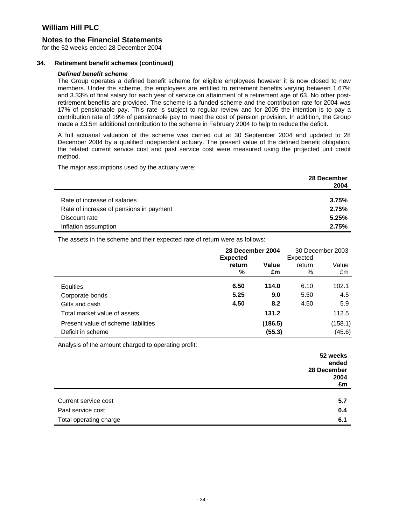### **Notes to the Financial Statements**

for the 52 weeks ended 28 December 2004

### **34. Retirement benefit schemes (continued)**

### *Defined benefit scheme*

The Group operates a defined benefit scheme for eligible employees however it is now closed to new members. Under the scheme, the employees are entitled to retirement benefits varying between 1.67% and 3.33% of final salary for each year of service on attainment of a retirement age of 63. No other postretirement benefits are provided. The scheme is a funded scheme and the contribution rate for 2004 was 17% of pensionable pay. This rate is subject to regular review and for 2005 the intention is to pay a contribution rate of 19% of pensionable pay to meet the cost of pension provision. In addition, the Group made a £3.5m additional contribution to the scheme in February 2004 to help to reduce the deficit.

A full actuarial valuation of the scheme was carried out at 30 September 2004 and updated to 28 December 2004 by a qualified independent actuary. The present value of the defined benefit obligation, the related current service cost and past service cost were measured using the projected unit credit method.

The major assumptions used by the actuary were:

|                                         | 28 December<br>2004 |
|-----------------------------------------|---------------------|
|                                         |                     |
| Rate of increase of salaries            | 3.75%               |
| Rate of increase of pensions in payment | 2.75%               |
| Discount rate                           | 5.25%               |
| Inflation assumption                    | 2.75%               |

The assets in the scheme and their expected rate of return were as follows:

|                                     | 28 December 2004 |         |          | 30 December 2003 |
|-------------------------------------|------------------|---------|----------|------------------|
|                                     | <b>Expected</b>  |         | Expected |                  |
|                                     | return           | Value   | return   | Value            |
|                                     | %                | £m      | %        | £m               |
|                                     |                  |         |          |                  |
| Equities                            | 6.50             | 114.0   | 6.10     | 102.1            |
| Corporate bonds                     | 5.25             | 9.0     | 5.50     | 4.5              |
| Gilts and cash                      | 4.50             | 8.2     | 4.50     | 5.9              |
| Total market value of assets        |                  | 131.2   |          | 112.5            |
| Present value of scheme liabilities |                  | (186.5) |          | (158.1)          |
| Deficit in scheme                   |                  | (55.3)  |          | (45.6)           |

Analysis of the amount charged to operating profit:

|                        | 52 weeks    |
|------------------------|-------------|
|                        | ended       |
|                        | 28 December |
|                        | 2004        |
|                        | £m          |
|                        |             |
| Current service cost   | 5.7         |
| Past service cost      | 0.4         |
| Total operating charge | 6.1         |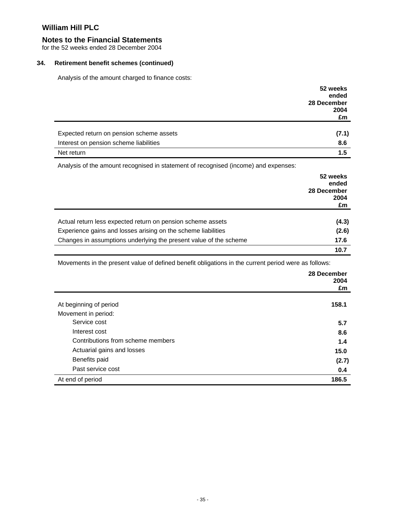**Notes to the Financial Statements** 

for the 52 weeks ended 28 December 2004

### **34. Retirement benefit schemes (continued)**

Analysis of the amount charged to finance costs:

|                                          | 52 weeks    |
|------------------------------------------|-------------|
|                                          | ended       |
|                                          | 28 December |
|                                          | 2004        |
|                                          | £m          |
| Expected return on pension scheme assets | (7.1)       |
| Interest on pension scheme liabilities   | 8.6         |
| Net return                               | 1.5         |

Analysis of the amount recognised in statement of recognised (income) and expenses:

|                                                                   | 52 weeks    |
|-------------------------------------------------------------------|-------------|
|                                                                   | ended       |
|                                                                   | 28 December |
|                                                                   | 2004        |
|                                                                   | £m          |
|                                                                   |             |
| Actual return less expected return on pension scheme assets       | (4.3)       |
| Experience gains and losses arising on the scheme liabilities     | (2.6)       |
| Changes in assumptions underlying the present value of the scheme | 17.6        |
|                                                                   | 10.7        |

Movements in the present value of defined benefit obligations in the current period were as follows:

|                                   | 28 December<br>2004<br>£m |
|-----------------------------------|---------------------------|
| At beginning of period            | 158.1                     |
| Movement in period:               |                           |
| Service cost                      | 5.7                       |
| Interest cost                     | 8.6                       |
| Contributions from scheme members | 1.4                       |
| Actuarial gains and losses        | 15.0                      |
| Benefits paid                     | (2.7)                     |
| Past service cost                 | 0.4                       |
| At end of period                  | 186.5                     |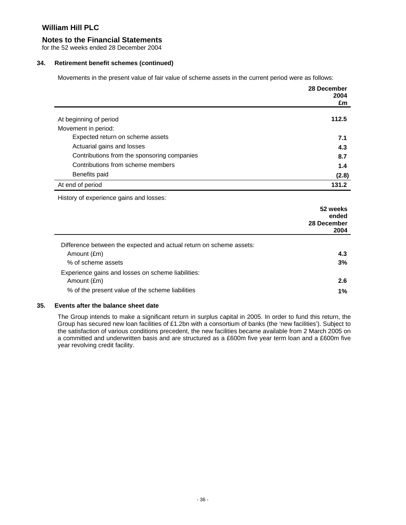**Notes to the Financial Statements** 

for the 52 weeks ended 28 December 2004

### **34. Retirement benefit schemes (continued)**

Movements in the present value of fair value of scheme assets in the current period were as follows:

|                                             | 28 December<br>2004<br>£m |
|---------------------------------------------|---------------------------|
| At beginning of period                      | 112.5                     |
| Movement in period:                         |                           |
| Expected return on scheme assets            | 7.1                       |
| Actuarial gains and losses                  | 4.3                       |
| Contributions from the sponsoring companies | 8.7                       |
| Contributions from scheme members           | 1.4                       |
| Benefits paid                               | (2.8)                     |
| At end of period                            | 131.2                     |

History of experience gains and losses:

|                                                                     | 52 weeks<br>ended<br>28 December<br>2004 |
|---------------------------------------------------------------------|------------------------------------------|
| Difference between the expected and actual return on scheme assets: |                                          |
| Amount (£m)                                                         | 4.3                                      |
| % of scheme assets                                                  | 3%                                       |
| Experience gains and losses on scheme liabilities:                  |                                          |
| Amount (£m)                                                         | 2.6                                      |
| % of the present value of the scheme liabilities                    | $1\%$                                    |

### **35. Events after the balance sheet date**

The Group intends to make a significant return in surplus capital in 2005. In order to fund this return, the Group has secured new loan facilities of £1.2bn with a consortium of banks (the 'new facilities'). Subject to the satisfaction of various conditions precedent, the new facilities became available from 2 March 2005 on a committed and underwritten basis and are structured as a £600m five year term loan and a £600m five year revolving credit facility.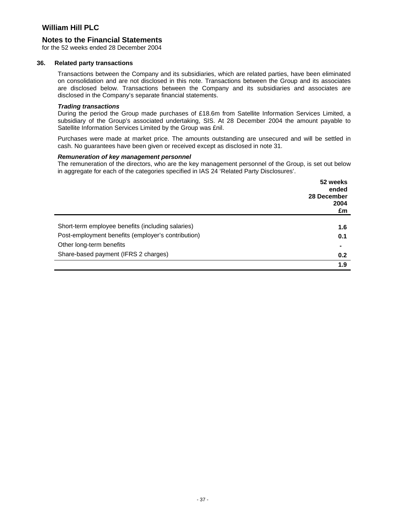### **Notes to the Financial Statements**

for the 52 weeks ended 28 December 2004

#### **36. Related party transactions**

Transactions between the Company and its subsidiaries, which are related parties, have been eliminated on consolidation and are not disclosed in this note. Transactions between the Group and its associates are disclosed below. Transactions between the Company and its subsidiaries and associates are disclosed in the Company's separate financial statements.

### *Trading transactions*

During the period the Group made purchases of £18.6m from Satellite Information Services Limited, a subsidiary of the Group's associated undertaking, SIS. At 28 December 2004 the amount payable to Satellite Information Services Limited by the Group was £nil.

Purchases were made at market price. The amounts outstanding are unsecured and will be settled in cash. No guarantees have been given or received except as disclosed in note 31.

### *Remuneration of key management personnel*

The remuneration of the directors, who are the key management personnel of the Group, is set out below in aggregate for each of the categories specified in IAS 24 'Related Party Disclosures'.

|                                                    | 52 weeks<br>ended<br>28 December<br>2004<br>£m |
|----------------------------------------------------|------------------------------------------------|
|                                                    |                                                |
| Short-term employee benefits (including salaries)  | 1.6                                            |
| Post-employment benefits (employer's contribution) | 0.1                                            |
| Other long-term benefits                           | ۰                                              |
| Share-based payment (IFRS 2 charges)               | 0.2                                            |
|                                                    | 1.9                                            |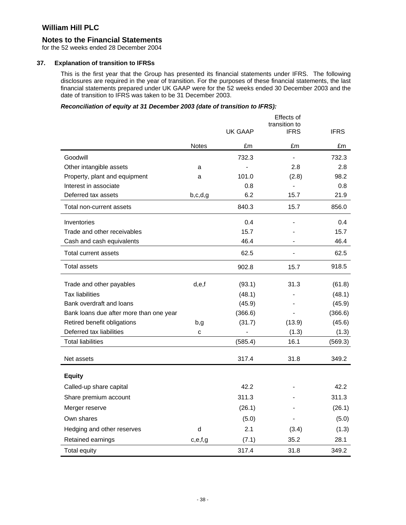# **Notes to the Financial Statements**

for the 52 weeks ended 28 December 2004

### **37. Explanation of transition to IFRSs**

This is the first year that the Group has presented its financial statements under IFRS. The following disclosures are required in the year of transition. For the purposes of these financial statements, the last financial statements prepared under UK GAAP were for the 52 weeks ended 30 December 2003 and the date of transition to IFRS was taken to be 31 December 2003.

# *Reconciliation of equity at 31 December 2003 (date of transition to IFRS):*

|                                         |              | <b>UK GAAP</b> | Effects of<br>transition to<br><b>IFRS</b> | <b>IFRS</b> |
|-----------------------------------------|--------------|----------------|--------------------------------------------|-------------|
|                                         |              |                |                                            |             |
|                                         | <b>Notes</b> | £m             | £m                                         | £m          |
| Goodwill                                |              | 732.3          | $\overline{a}$                             | 732.3       |
| Other intangible assets                 | a            |                | 2.8                                        | 2.8         |
| Property, plant and equipment           | a            | 101.0          | (2.8)                                      | 98.2        |
| Interest in associate                   |              | 0.8            |                                            | 0.8         |
| Deferred tax assets                     | b,c,d,g      | 6.2            | 15.7                                       | 21.9        |
| Total non-current assets                |              | 840.3          | 15.7                                       | 856.0       |
| Inventories                             |              | 0.4            |                                            | 0.4         |
| Trade and other receivables             |              | 15.7           |                                            | 15.7        |
| Cash and cash equivalents               |              | 46.4           |                                            | 46.4        |
| Total current assets                    |              | 62.5           |                                            | 62.5        |
| <b>Total assets</b>                     |              | 902.8          | 15.7                                       | 918.5       |
| Trade and other payables                | d,e,f        | (93.1)         | 31.3                                       | (61.8)      |
| <b>Tax liabilities</b>                  |              | (48.1)         |                                            | (48.1)      |
| Bank overdraft and loans                |              | (45.9)         |                                            | (45.9)      |
| Bank loans due after more than one year |              | (366.6)        |                                            | (366.6)     |
| Retired benefit obligations             | b,g          | (31.7)         | (13.9)                                     | (45.6)      |
| Deferred tax liabilities                | C            |                | (1.3)                                      | (1.3)       |
| <b>Total liabilities</b>                |              | (585.4)        | 16.1                                       | (569.3)     |
| Net assets                              |              | 317.4          | 31.8                                       | 349.2       |
| <b>Equity</b>                           |              |                |                                            |             |
| Called-up share capital                 |              | 42.2           |                                            | 42.2        |
| Share premium account                   |              | 311.3          |                                            | 311.3       |
| Merger reserve                          |              | (26.1)         |                                            | (26.1)      |
| Own shares                              |              | (5.0)          |                                            | (5.0)       |
| Hedging and other reserves              | d            | 2.1            | (3.4)                                      | (1.3)       |
| Retained earnings                       | c,e,f,g      | (7.1)          | 35.2                                       | 28.1        |
| Total equity                            |              | 317.4          | 31.8                                       | 349.2       |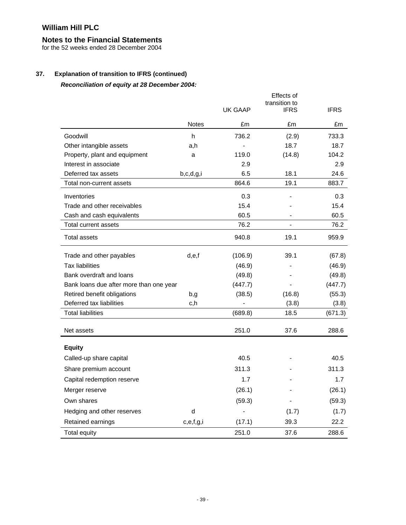### **Notes to the Financial Statements**

for the 52 weeks ended 28 December 2004

# **37. Explanation of transition to IFRS (continued)**

### *Reconciliation of equity at 28 December 2004:*

|                                         |              | UK GAAP | Effects of<br>transition to<br><b>IFRS</b> | <b>IFRS</b> |
|-----------------------------------------|--------------|---------|--------------------------------------------|-------------|
|                                         | <b>Notes</b> | £m      | £m                                         | £m          |
| Goodwill                                | h            | 736.2   | (2.9)                                      | 733.3       |
| Other intangible assets                 | a,h          |         | 18.7                                       | 18.7        |
| Property, plant and equipment           | a            | 119.0   | (14.8)                                     | 104.2       |
| Interest in associate                   |              | 2.9     |                                            | 2.9         |
| Deferred tax assets                     | b,c,d,g,i    | 6.5     | 18.1                                       | 24.6        |
| Total non-current assets                |              | 864.6   | 19.1                                       | 883.7       |
| Inventories                             |              | 0.3     |                                            | 0.3         |
| Trade and other receivables             |              | 15.4    |                                            | 15.4        |
| Cash and cash equivalents               |              | 60.5    |                                            | 60.5        |
| Total current assets                    |              | 76.2    |                                            | 76.2        |
| <b>Total assets</b>                     |              | 940.8   | 19.1                                       | 959.9       |
| Trade and other payables                | d,e,f        | (106.9) | 39.1                                       | (67.8)      |
| <b>Tax liabilities</b>                  |              | (46.9)  |                                            | (46.9)      |
| Bank overdraft and loans                |              | (49.8)  |                                            | (49.8)      |
| Bank loans due after more than one year |              | (447.7) |                                            | (447.7)     |
| Retired benefit obligations             | b,g          | (38.5)  | (16.8)                                     | (55.3)      |
| Deferred tax liabilities                | c,h          |         | (3.8)                                      | (3.8)       |
| <b>Total liabilities</b>                |              | (689.8) | 18.5                                       | (671.3)     |
| Net assets                              |              | 251.0   | 37.6                                       | 288.6       |
| <b>Equity</b>                           |              |         |                                            |             |
| Called-up share capital                 |              | 40.5    |                                            | 40.5        |
| Share premium account                   |              | 311.3   |                                            | 311.3       |
| Capital redemption reserve              |              | 1.7     |                                            | 1.7         |
| Merger reserve                          |              | (26.1)  |                                            | (26.1)      |
| Own shares                              |              | (59.3)  |                                            | (59.3)      |
| Hedging and other reserves              | d            |         | (1.7)                                      | (1.7)       |
| Retained earnings                       | c,e,f,g,i    | (17.1)  | 39.3                                       | 22.2        |
| Total equity                            |              | 251.0   | 37.6                                       | 288.6       |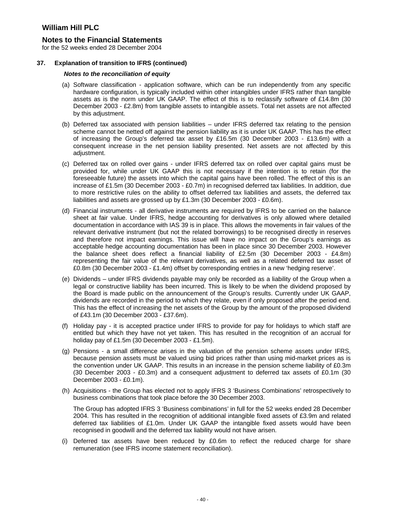### **Notes to the Financial Statements**

for the 52 weeks ended 28 December 2004

### **37. Explanation of transition to IFRS (continued)**

### *Notes to the reconciliation of equity*

- (a) Software classification application software, which can be run independently from any specific hardware configuration, is typically included within other intangibles under IFRS rather than tangible assets as is the norm under UK GAAP. The effect of this is to reclassify software of £14.8m (30 December 2003 - £2.8m) from tangible assets to intangible assets. Total net assets are not affected by this adjustment.
- (b) Deferred tax associated with pension liabilities under IFRS deferred tax relating to the pension scheme cannot be netted off against the pension liability as it is under UK GAAP. This has the effect of increasing the Group's deferred tax asset by £16.5m (30 December 2003 - £13.6m) with a consequent increase in the net pension liability presented. Net assets are not affected by this adjustment.
- (c) Deferred tax on rolled over gains under IFRS deferred tax on rolled over capital gains must be provided for, while under UK GAAP this is not necessary if the intention is to retain (for the foreseeable future) the assets into which the capital gains have been rolled. The effect of this is an increase of £1.5m (30 December 2003 - £0.7m) in recognised deferred tax liabilities. In addition, due to more restrictive rules on the ability to offset deferred tax liabilities and assets, the deferred tax liabilities and assets are grossed up by £1.3m (30 December 2003 - £0.6m).
- (d) Financial instruments all derivative instruments are required by IFRS to be carried on the balance sheet at fair value. Under IFRS, hedge accounting for derivatives is only allowed where detailed documentation in accordance with IAS 39 is in place. This allows the movements in fair values of the relevant derivative instrument (but not the related borrowings) to be recognised directly in reserves and therefore not impact earnings. This issue will have no impact on the Group's earnings as acceptable hedge accounting documentation has been in place since 30 December 2003. However the balance sheet does reflect a financial liability of £2.5m (30 December 2003 - £4.8m) representing the fair value of the relevant derivatives, as well as a related deferred tax asset of £0.8m (30 December 2003 - £1.4m) offset by corresponding entries in a new 'hedging reserve'.
- (e) Dividends under IFRS dividends payable may only be recorded as a liability of the Group when a legal or constructive liability has been incurred. This is likely to be when the dividend proposed by the Board is made public on the announcement of the Group's results. Currently under UK GAAP, dividends are recorded in the period to which they relate, even if only proposed after the period end. This has the effect of increasing the net assets of the Group by the amount of the proposed dividend of £43.1m (30 December 2003 - £37.6m).
- (f) Holiday pay it is accepted practice under IFRS to provide for pay for holidays to which staff are entitled but which they have not yet taken. This has resulted in the recognition of an accrual for holiday pay of £1.5m (30 December 2003 - £1.5m).
- (g) Pensions a small difference arises in the valuation of the pension scheme assets under IFRS, because pension assets must be valued using bid prices rather than using mid-market prices as is the convention under UK GAAP. This results in an increase in the pension scheme liability of £0.3m (30 December 2003 - £0.3m) and a consequent adjustment to deferred tax assets of £0.1m (30 December 2003 - £0.1m).
- (h) Acquisitions the Group has elected not to apply IFRS 3 'Business Combinations' retrospectively to business combinations that took place before the 30 December 2003.

The Group has adopted IFRS 3 'Business combinations' in full for the 52 weeks ended 28 December 2004. This has resulted in the recognition of additional intangible fixed assets of £3.9m and related deferred tax liabilities of £1.0m. Under UK GAAP the intangible fixed assets would have been recognised in goodwill and the deferred tax liability would not have arisen.

(i) Deferred tax assets have been reduced by £0.6m to reflect the reduced charge for share remuneration (see IFRS income statement reconciliation).